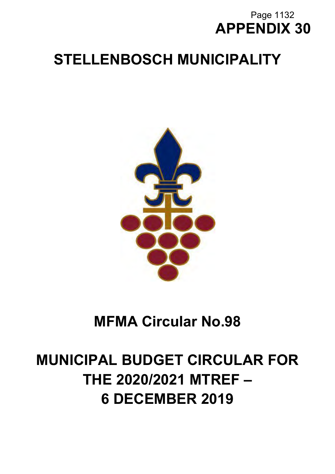# **APPENDIX 30** Page 1132

# **STELLENBOSCH MUNICIPALITY**



# **MFMA Circular No.98**

# **MUNICIPAL BUDGET CIRCULAR FOR THE 2020/2021 MTREF – 6 DECEMBER 2019**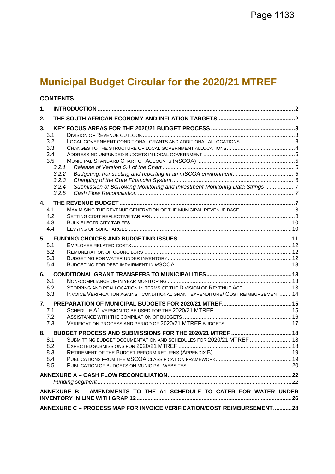# **Municipal Budget Circular for the 2020/21 MTREF**

# **CONTENTS**

| 1.         |                                                                                  |  |
|------------|----------------------------------------------------------------------------------|--|
| 2.         |                                                                                  |  |
| 3.         |                                                                                  |  |
| 3.1        |                                                                                  |  |
| 3.2        | LOCAL GOVERNMENT CONDITIONAL GRANTS AND ADDITIONAL ALLOCATIONS 3                 |  |
| 3.3        |                                                                                  |  |
| 3.4        |                                                                                  |  |
| 3.5        |                                                                                  |  |
| 3.2.1      |                                                                                  |  |
| 3.2.2      |                                                                                  |  |
| 3.2.3      |                                                                                  |  |
| 3.2.4      | Submission of Borrowing Monitoring and Investment Monitoring Data Strings 7      |  |
| 3.2.5      |                                                                                  |  |
| 4.         |                                                                                  |  |
| 4.1        |                                                                                  |  |
| 4.2        |                                                                                  |  |
| 4.3        |                                                                                  |  |
| 4.4        |                                                                                  |  |
|            |                                                                                  |  |
| 5.         |                                                                                  |  |
| 5.1        |                                                                                  |  |
| 5.2<br>5.3 |                                                                                  |  |
| 5.4        |                                                                                  |  |
|            |                                                                                  |  |
| 6.         |                                                                                  |  |
| 6.1        |                                                                                  |  |
| 6.2        | STOPPING AND REALLOCATION IN TERMS OF THE DIVISION OF REVENUE ACT  13            |  |
| 6.3        | INVOICE VERIFICATION AGAINST CONDITIONAL GRANT EXPENDITURE/ COST REIMBURSEMENT14 |  |
| 7.         |                                                                                  |  |
| 7.1        |                                                                                  |  |
| 7.2        |                                                                                  |  |
| 7.3        |                                                                                  |  |
| 8.         |                                                                                  |  |
| 8.1        | SUBMITTING BUDGET DOCUMENTATION AND SCHEDULES FOR 2020/21 MTREF  18              |  |
| 8.2        |                                                                                  |  |
| 8.3        |                                                                                  |  |
| 8.4        |                                                                                  |  |
| 8.5        |                                                                                  |  |
|            |                                                                                  |  |
|            |                                                                                  |  |
|            |                                                                                  |  |
|            | ANNEXURE B - AMENDMENTS TO THE A1 SCHEDULE TO CATER FOR WATER UNDER              |  |
|            | ANNEXURE C - PROCESS MAP FOR INVOICE VERIFICATION/COST REIMBURSEMENT28           |  |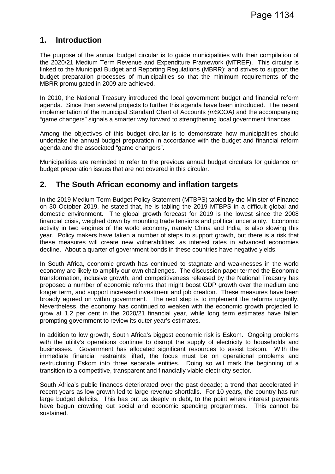# **1. Introduction**

The purpose of the annual budget circular is to guide municipalities with their compilation of the 2020/21 Medium Term Revenue and Expenditure Framework (MTREF). This circular is linked to the Municipal Budget and Reporting Regulations (MBRR); and strives to support the budget preparation processes of municipalities so that the minimum requirements of the MBRR promulgated in 2009 are achieved.

In 2010, the National Treasury introduced the local government budget and financial reform agenda. Since then several projects to further this agenda have been introduced. The recent implementation of the municipal Standard Chart of Accounts *(m*SCOA*)* and the accompanying "game changers" signals a smarter way forward to strengthening local government finances.

Among the objectives of this budget circular is to demonstrate how municipalities should undertake the annual budget preparation in accordance with the budget and financial reform agenda and the associated "game changers".

Municipalities are reminded to refer to the previous annual budget circulars for guidance on budget preparation issues that are not covered in this circular.

# **2. The South African economy and inflation targets**

In the 2019 Medium Term Budget Policy Statement (MTBPS) tabled by the Minister of Finance on 30 October 2019, he stated that, he is tabling the 2019 MTBPS in a difficult global and domestic environment. The global growth forecast for 2019 is the lowest since the 2008 financial crisis, weighed down by mounting trade tensions and political uncertainty. Economic activity in two engines of the world economy, namely China and India, is also slowing this year. Policy makers have taken a number of steps to support growth, but there is a risk that these measures will create new vulnerabilities, as interest rates in advanced economies decline. About a quarter of government bonds in these countries have negative yields.

In South Africa, economic growth has continued to stagnate and weaknesses in the world economy are likely to amplify our own challenges. The discussion paper termed the Economic transformation, inclusive growth, and competitiveness released by the National Treasury has proposed a number of economic reforms that might boost GDP growth over the medium and longer term, and support increased investment and job creation. These measures have been broadly agreed on within government. The next step is to implement the reforms urgently. Nevertheless, the economy has continued to weaken with the economic growth projected to grow at 1.2 per cent in the 2020/21 financial year, while long term estimates have fallen prompting government to review its outer year's estimates.

In addition to low growth, South Africa's biggest economic risk is Eskom. Ongoing problems with the utility's operations continue to disrupt the supply of electricity to households and businesses. Government has allocated significant resources to assist Eskom. With the immediate financial restraints lifted, the focus must be on operational problems and restructuring Eskom into three separate entities. Doing so will mark the beginning of a transition to a competitive, transparent and financially viable electricity sector.

South Africa's public finances deteriorated over the past decade; a trend that accelerated in recent years as low growth led to large revenue shortfalls. For 10 years, the country has run large budget deficits. This has put us deeply in debt, to the point where interest payments have begun crowding out social and economic spending programmes. This cannot be sustained.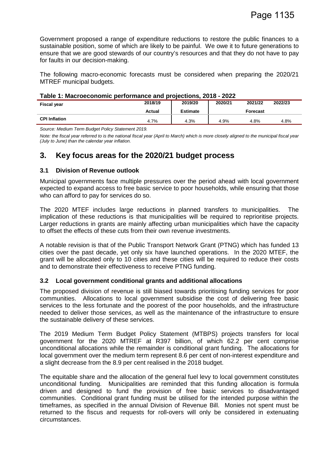Government proposed a range of expenditure reductions to restore the public finances to a sustainable position, some of which are likely to be painful. We owe it to future generations to ensure that we are good stewards of our country's resources and that they do not have to pay for faults in our decision-making.

The following macro-economic forecasts must be considered when preparing the 2020/21 MTREF municipal budgets.

| Table 1: Macroeconomic performance and projections, 2018 - 2022 |  |  |
|-----------------------------------------------------------------|--|--|
|                                                                 |  |  |

| <b>Fiscal year</b>   | 2018/19 | 2019/20         | 2020/21 | 2021/22  | 2022/23 |
|----------------------|---------|-----------------|---------|----------|---------|
|                      | Actual  | <b>Estimate</b> |         | Forecast |         |
| <b>CPI Inflation</b> | 4.7%    | 4.3%            | 4.9%    | 4.8%     | 4.8%    |

*Source: Medium Term Budget Policy Statement 2019.* 

*Note: the fiscal year referred to is the national fiscal year (April to March) which is more closely aligned to the municipal fiscal year (July to June) than the calendar year inflation.*

## **3. Key focus areas for the 2020/21 budget process**

#### **3.1 Division of Revenue outlook**

Municipal governments face multiple pressures over the period ahead with local government expected to expand access to free basic service to poor households, while ensuring that those who can afford to pay for services do so.

The 2020 MTEF includes large reductions in planned transfers to municipalities. The implication of these reductions is that municipalities will be required to reprioritise projects. Larger reductions in grants are mainly affecting urban municipalities which have the capacity to offset the effects of these cuts from their own revenue investments.

A notable revision is that of the Public Transport Network Grant (PTNG) which has funded 13 cities over the past decade, yet only six have launched operations. In the 2020 MTEF, the grant will be allocated only to 10 cities and these cities will be required to reduce their costs and to demonstrate their effectiveness to receive PTNG funding.

#### **3.2 Local government conditional grants and additional allocations**

The proposed division of revenue is still biased towards prioritising funding services for poor communities. Allocations to local government subsidise the cost of delivering free basic services to the less fortunate and the poorest of the poor households, and the infrastructure needed to deliver those services, as well as the maintenance of the infrastructure to ensure the sustainable delivery of these services.

The 2019 Medium Term Budget Policy Statement (MTBPS) projects transfers for local government for the 2020 MTREF at R397 billion, of which 62.2 per cent comprise unconditional allocations while the remainder is conditional grant funding. The allocations for local government over the medium term represent 8.6 per cent of non-interest expenditure and a slight decrease from the 8.9 per cent realised in the 2018 budget.

The equitable share and the allocation of the general fuel levy to local government constitutes unconditional funding. Municipalities are reminded that this funding allocation is formula driven and designed to fund the provision of free basic services to disadvantaged communities. Conditional grant funding must be utilised for the intended purpose within the timeframes, as specified in the annual Division of Revenue Bill. Monies not spent must be returned to the fiscus and requests for roll-overs will only be considered in extenuating circumstances.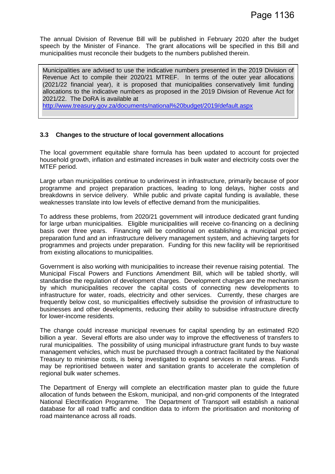The annual Division of Revenue Bill will be published in February 2020 after the budget speech by the Minister of Finance. The grant allocations will be specified in this Bill and municipalities must reconcile their budgets to the numbers published therein.

Municipalities are advised to use the indicative numbers presented in the 2019 Division of Revenue Act to compile their 2020/21 MTREF. In terms of the outer year allocations (2021/22 financial year), it is proposed that municipalities conservatively limit funding allocations to the indicative numbers as proposed in the 2019 Division of Revenue Act for 2021/22. The DoRA is available at

http://www.treasury.gov.za/documents/national%20budget/2019/default.aspx

#### **3.3 Changes to the structure of local government allocations**

The local government equitable share formula has been updated to account for projected household growth, inflation and estimated increases in bulk water and electricity costs over the MTEF period.

Large urban municipalities continue to underinvest in infrastructure, primarily because of poor programme and project preparation practices, leading to long delays, higher costs and breakdowns in service delivery. While public and private capital funding is available, these weaknesses translate into low levels of effective demand from the municipalities.

To address these problems, from 2020/21 government will introduce dedicated grant funding for large urban municipalities. Eligible municipalities will receive co-financing on a declining basis over three years. Financing will be conditional on establishing a municipal project preparation fund and an infrastructure delivery management system, and achieving targets for programmes and projects under preparation. Funding for this new facility will be reprioritised from existing allocations to municipalities.

Government is also working with municipalities to increase their revenue raising potential. The Municipal Fiscal Powers and Functions Amendment Bill, which will be tabled shortly, will standardise the regulation of development charges. Development charges are the mechanism by which municipalities recover the capital costs of connecting new developments to infrastructure for water, roads, electricity and other services. Currently, these charges are frequently below cost, so municipalities effectively subsidise the provision of infrastructure to businesses and other developments, reducing their ability to subsidise infrastructure directly for lower-income residents.

The change could increase municipal revenues for capital spending by an estimated R20 billion a year. Several efforts are also under way to improve the effectiveness of transfers to rural municipalities. The possibility of using municipal infrastructure grant funds to buy waste management vehicles, which must be purchased through a contract facilitated by the National Treasury to minimise costs, is being investigated to expand services in rural areas. Funds may be reprioritised between water and sanitation grants to accelerate the completion of regional bulk water schemes.

The Department of Energy will complete an electrification master plan to guide the future allocation of funds between the Eskom, municipal, and non-grid components of the Integrated National Electrification Programme. The Department of Transport will establish a national database for all road traffic and condition data to inform the prioritisation and monitoring of road maintenance across all roads.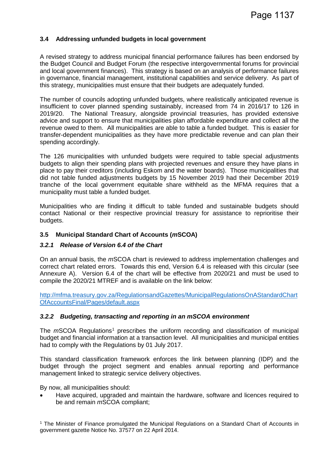#### **3.4 Addressing unfunded budgets in local government**

A revised strategy to address municipal financial performance failures has been endorsed by the Budget Council and Budget Forum (the respective intergovernmental forums for provincial and local government finances). This strategy is based on an analysis of performance failures in governance, financial management, institutional capabilities and service delivery. As part of this strategy, municipalities must ensure that their budgets are adequately funded.

The number of councils adopting unfunded budgets, where realistically anticipated revenue is insufficient to cover planned spending sustainably, increased from 74 in 2016/17 to 126 in 2019/20. The National Treasury, alongside provincial treasuries, has provided extensive advice and support to ensure that municipalities plan affordable expenditure and collect all the revenue owed to them. All municipalities are able to table a funded budget. This is easier for transfer-dependent municipalities as they have more predictable revenue and can plan their spending accordingly.

The 126 municipalities with unfunded budgets were required to table special adjustments budgets to align their spending plans with projected revenues and ensure they have plans in place to pay their creditors (including Eskom and the water boards). Those municipalities that did not table funded adjustments budgets by 15 November 2019 had their December 2019 tranche of the local government equitable share withheld as the MFMA requires that a municipality must table a funded budget.

Municipalities who are finding it difficult to table funded and sustainable budgets should contact National or their respective provincial treasury for assistance to reprioritise their budgets.

#### **3.5 Municipal Standard Chart of Accounts (***m***SCOA)**

#### *3.2.1 Release of Version 6.4 of the Chart*

On an annual basis, the *m*SCOA chart is reviewed to address implementation challenges and correct chart related errors. Towards this end, Version 6.4 is released with this circular (see Annexure A). Version 6.4 of the chart will be effective from 2020/21 and must be used to compile the 2020/21 MTREF and is available on the link below:

http://mfma.treasury.gov.za/RegulationsandGazettes/MunicipalRegulationsOnAStandardChart OfAccountsFinal/Pages/default.aspx

#### *3.2.2 Budgeting, transacting and reporting in an mSCOA environment*

The *m*SCOA Regulations<sup>1</sup> prescribes the uniform recording and classification of municipal budget and financial information at a transaction level. All municipalities and municipal entities had to comply with the Regulations by 01 July 2017.

This standard classification framework enforces the link between planning (IDP) and the budget through the project segment and enables annual reporting and performance management linked to strategic service delivery objectives.

By now, all municipalities should:

• Have acquired, upgraded and maintain the hardware, software and licences required to be and remain *m*SCOA compliant;

<sup>1</sup> The Minister of Finance promulgated the Municipal Regulations on a Standard Chart of Accounts in government gazette Notice No. 37577 on 22 April 2014.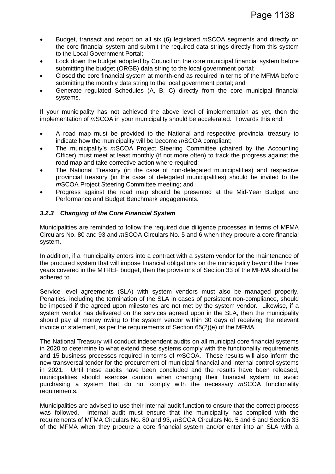- Budget, transact and report on all six (6) legislated *m*SCOA segments and directly on the core financial system and submit the required data strings directly from this system to the Local Government Portal;
- Lock down the budget adopted by Council on the core municipal financial system before submitting the budget (ORGB) data string to the local government portal;
- Closed the core financial system at month-end as required in terms of the MFMA before submitting the monthly data string to the local government portal; and
- Generate regulated Schedules (A, B, C) directly from the core municipal financial systems.

If your municipality has not achieved the above level of implementation as yet, then the implementation of *m*SCOA in your municipality should be accelerated. Towards this end:

- A road map must be provided to the National and respective provincial treasury to indicate how the municipality will be become *m*SCOA compliant;
- The municipality's *m*SCOA Project Steering Committee (chaired by the Accounting Officer) must meet at least monthly (if not more often) to track the progress against the road map and take corrective action where required;
- The National Treasury (in the case of non-delegated municipalities) and respective provincial treasury (in the case of delegated municipalities) should be invited to the *m*SCOA Project Steering Committee meeting; and
- Progress against the road map should be presented at the Mid-Year Budget and Performance and Budget Benchmark engagements.

#### *3.2.3 Changing of the Core Financial System*

Municipalities are reminded to follow the required due diligence processes in terms of MFMA Circulars No. 80 and 93 and *m*SCOA Circulars No. 5 and 6 when they procure a core financial system.

In addition, if a municipality enters into a contract with a system vendor for the maintenance of the procured system that will impose financial obligations on the municipality beyond the three years covered in the MTREF budget, then the provisions of Section 33 of the MFMA should be adhered to.

Service level agreements (SLA) with system vendors must also be managed properly. Penalties, including the termination of the SLA in cases of persistent non-compliance, should be imposed if the agreed upon milestones are not met by the system vendor. Likewise, if a system vendor has delivered on the services agreed upon in the SLA, then the municipality should pay all money owing to the system vendor within 30 days of receiving the relevant invoice or statement, as per the requirements of Section 65(2)(e) of the MFMA.

The National Treasury will conduct independent audits on all municipal core financial systems in 2020 to determine to what extend these systems comply with the functionality requirements and 15 business processes required in terms of *m*SCOA. These results will also inform the new transversal tender for the procurement of municipal financial and internal control systems in 2021. Until these audits have been concluded and the results have been released, municipalities should exercise caution when changing their financial system to avoid purchasing a system that do not comply with the necessary *m*SCOA functionality requirements.

Municipalities are advised to use their internal audit function to ensure that the correct process was followed. Internal audit must ensure that the municipality has complied with the requirements of MFMA Circulars No. 80 and 93, *m*SCOA Circulars No. 5 and 6 and Section 33 of the MFMA when they procure a core financial system and/or enter into an SLA with a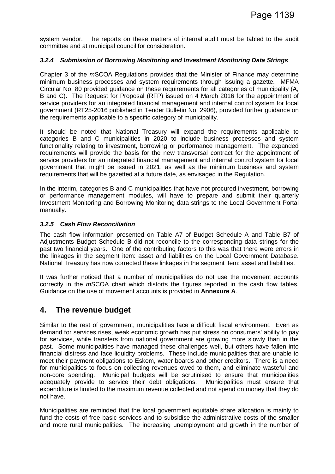system vendor. The reports on these matters of internal audit must be tabled to the audit committee and at municipal council for consideration.

#### *3.2.4 Submission of Borrowing Monitoring and Investment Monitoring Data Strings*

Chapter 3 of the *m*SCOA Regulations provides that the Minister of Finance may determine minimum business processes and system requirements through issuing a gazette. MFMA Circular No. 80 provided guidance on these requirements for all categories of municipality (A, B and C). The Request for Proposal (RFP) issued on 4 March 2016 for the appointment of service providers for an integrated financial management and internal control system for local government (RT25-2016 published in Tender Bulletin No. 2906), provided further guidance on the requirements applicable to a specific category of municipality.

It should be noted that National Treasury will expand the requirements applicable to categories B and C municipalities in 2020 to include business processes and system functionality relating to investment, borrowing or performance management. The expanded requirements will provide the basis for the new transversal contract for the appointment of service providers for an integrated financial management and internal control system for local government that might be issued in 2021, as well as the minimum business and system requirements that will be gazetted at a future date, as envisaged in the Regulation.

In the interim, categories B and C municipalities that have not procured investment, borrowing or performance management modules, will have to prepare and submit their quarterly Investment Monitoring and Borrowing Monitoring data strings to the Local Government Portal manually.

#### *3.2.5 Cash Flow Reconciliation*

The cash flow information presented on Table A7 of Budget Schedule A and Table B7 of Adjustments Budget Schedule B did not reconcile to the corresponding data strings for the past two financial years. One of the contributing factors to this was that there were errors in the linkages in the segment item: asset and liabilities on the Local Government Database. National Treasury has now corrected these linkages in the segment item: asset and liabilities.

It was further noticed that a number of municipalities do not use the movement accounts correctly in the *m*SCOA chart which distorts the figures reported in the cash flow tables. Guidance on the use of movement accounts is provided in **Annexure A**.

## **4. The revenue budget**

Similar to the rest of government, municipalities face a difficult fiscal environment. Even as demand for services rises, weak economic growth has put stress on consumers' ability to pay for services, while transfers from national government are growing more slowly than in the past. Some municipalities have managed these challenges well, but others have fallen into financial distress and face liquidity problems. These include municipalities that are unable to meet their payment obligations to Eskom, water boards and other creditors. There is a need for municipalities to focus on collecting revenues owed to them, and eliminate wasteful and non-core spending. Municipal budgets will be scrutinised to ensure that municipalities adequately provide to service their debt obligations. Municipalities must ensure that expenditure is limited to the maximum revenue collected and not spend on money that they do not have.

Municipalities are reminded that the local government equitable share allocation is mainly to fund the costs of free basic services and to subsidise the administrative costs of the smaller and more rural municipalities. The increasing unemployment and growth in the number of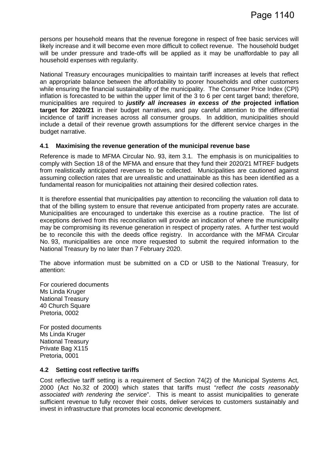persons per household means that the revenue foregone in respect of free basic services will likely increase and it will become even more difficult to collect revenue. The household budget will be under pressure and trade-offs will be applied as it may be unaffordable to pay all household expenses with regularity.

National Treasury encourages municipalities to maintain tariff increases at levels that reflect an appropriate balance between the affordability to poorer households and other customers while ensuring the financial sustainability of the municipality. The Consumer Price Index (CPI) inflation is forecasted to be within the upper limit of the 3 to 6 per cent target band; therefore, municipalities are required to *justify all increases in excess of the* **projected inflation target for 2020/21** in their budget narratives, and pay careful attention to the differential incidence of tariff increases across all consumer groups. In addition, municipalities should include a detail of their revenue growth assumptions for the different service charges in the budget narrative.

#### **4.1 Maximising the revenue generation of the municipal revenue base**

Reference is made to MFMA Circular No. 93, item 3.1. The emphasis is on municipalities to comply with Section 18 of the MFMA and ensure that they fund their 2020/21 MTREF budgets from realistically anticipated revenues to be collected. Municipalities are cautioned against assuming collection rates that are unrealistic and unattainable as this has been identified as a fundamental reason for municipalities not attaining their desired collection rates.

It is therefore essential that municipalities pay attention to reconciling the valuation roll data to that of the billing system to ensure that revenue anticipated from property rates are accurate. Municipalities are encouraged to undertake this exercise as a routine practice. The list of exceptions derived from this reconciliation will provide an indication of where the municipality may be compromising its revenue generation in respect of property rates. A further test would be to reconcile this with the deeds office registry. In accordance with the MFMA Circular No. 93, municipalities are once more requested to submit the required information to the National Treasury by no later than 7 February 2020.

The above information must be submitted on a CD or USB to the National Treasury, for attention:

For couriered documents Ms Linda Kruger National Treasury 40 Church Square Pretoria, 0002

For posted documents Ms Linda Kruger National Treasury Private Bag X115 Pretoria, 0001

#### **4.2 Setting cost reflective tariffs**

Cost reflective tariff setting is a requirement of Section 74(2) of the Municipal Systems Act, 2000 (Act No.32 of 2000) which states that tariffs must "*reflect the costs reasonably associated with rendering the service*". This is meant to assist municipalities to generate sufficient revenue to fully recover their costs, deliver services to customers sustainably and invest in infrastructure that promotes local economic development.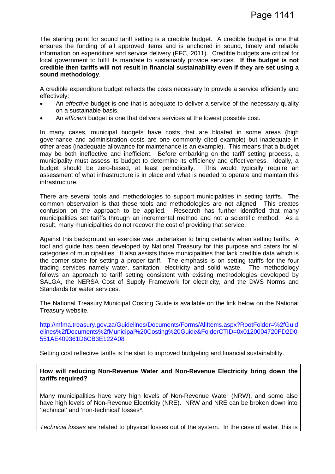The starting point for sound tariff setting is a credible budget. A credible budget is one that ensures the funding of all approved items and is anchored in sound, timely and reliable information on expenditure and service delivery (FFC, 2011). Credible budgets are critical for local government to fulfil its mandate to sustainably provide services. **If the budget is not credible then tariffs will not result in financial sustainability even if they are set using a sound methodology**.

A credible expenditure budget reflects the costs necessary to provide a service efficiently and effectively:

- An *effective* budget is one that is adequate to deliver a service of the necessary quality on a sustainable basis.
- An *efficient* budget is one that delivers services at the lowest possible cost.

In many cases, municipal budgets have costs that are bloated in some areas (high governance and administration costs are one commonly cited example) but inadequate in other areas (inadequate allowance for maintenance is an example). This means that a budget may be both ineffective and inefficient. Before embarking on the tariff setting process, a municipality must assess its budget to determine its efficiency and effectiveness. Ideally, a budget should be zero-based, at least periodically. This would typically require an assessment of what infrastructure is in place and what is needed to operate and maintain this infrastructure.

There are several tools and methodologies to support municipalities in setting tariffs. The common observation is that these tools and methodologies are not aligned. This creates confusion on the approach to be applied. Research has further identified that many municipalities set tariffs through an incremental method and not a scientific method. As a result, many municipalities do not recover the cost of providing that service.

Against this background an exercise was undertaken to bring certainty when setting tariffs. A tool and guide has been developed by National Treasury for this purpose and caters for all categories of municipalities. It also assists those municipalities that lack credible data which is the corner stone for setting a proper tariff. The emphasis is on setting tariffs for the four trading services namely water, sanitation, electricity and solid waste. The methodology follows an approach to tariff setting consistent with existing methodologies developed by SALGA, the NERSA Cost of Supply Framework for electricity, and the DWS Norms and Standards for water services.

The National Treasury Municipal Costing Guide is available on the link below on the National Treasury website.

http://mfma.treasury.gov.za/Guidelines/Documents/Forms/AllItems.aspx?RootFolder=%2fGuid elines%2fDocuments%2fMunicipal%20Costing%20Guide&FolderCTID=0x0120004720FD2D0 551AE409361D6CB3E122A08

Setting cost reflective tariffs is the start to improved budgeting and financial sustainability.

**How will reducing Non-Revenue Water and Non-Revenue Electricity bring down the tariffs required?**

Many municipalities have very high levels of Non-Revenue Water (NRW), and some also have high levels of Non-Revenue Electricity (NRE). NRW and NRE can be broken down into 'technical' and 'non-technical' losses\*.

*Technical losses* are related to physical losses out of the system. In the case of water, this is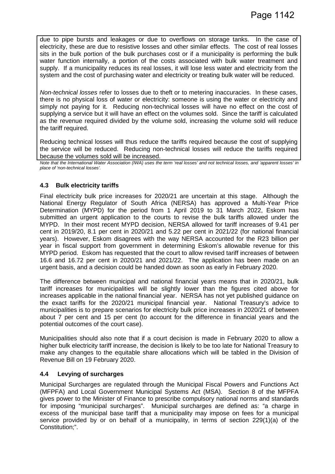due to pipe bursts and leakages or due to overflows on storage tanks. In the case of electricity, these are due to resistive losses and other similar effects. The cost of real losses sits in the bulk portion of the bulk purchases cost or if a municipality is performing the bulk water function internally, a portion of the costs associated with bulk water treatment and supply. If a municipality reduces its real losses, it will lose less water and electricity from the system and the cost of purchasing water and electricity or treating bulk water will be reduced.

*Non-technical losses* refer to losses due to theft or to metering inaccuracies. In these cases, there is no physical loss of water or electricity: someone is using the water or electricity and simply not paying for it. Reducing non-technical losses will have no effect on the cost of supplying a service but it will have an effect on the volumes sold. Since the tariff is calculated as the revenue required divided by the volume sold, increasing the volume sold will reduce the tariff required.

Reducing technical losses will thus reduce the tariffs required because the cost of supplying the service will be reduced. Reducing non-technical losses will reduce the tariffs required because the volumes sold will be increased.

*Note that the International Water Association (IWA) uses the term 'real losses' and not technical losses, and 'apparent losses' in place of 'non-technical losses'.*

#### **4.3 Bulk electricity tariffs**

Final electricity bulk price increases for 2020/21 are uncertain at this stage. Although the National Energy Regulator of South Africa (NERSA) has approved a Multi-Year Price Determination (MYPD) for the period from 1 April 2019 to 31 March 2022, Eskom has submitted an urgent application to the courts to revise the bulk tariffs allowed under the MYPD. In their most recent MYPD decision, NERSA allowed for tariff increases of 9.41 per cent in 2019/20, 8.1 per cent in 2020/21 and 5.22 per cent in 2021/22 (for national financial years). However, Eskom disagrees with the way NERSA accounted for the R23 billion per year in fiscal support from government in determining Eskom's allowable revenue for this MYPD period. Eskom has requested that the court to allow revised tariff increases of between 16.6 and 16.72 per cent in 2020/21 and 2021/22. The application has been made on an urgent basis, and a decision could be handed down as soon as early in February 2020.

The difference between municipal and national financial years means that in 2020/21, bulk tariff increases for municipalities will be slightly lower than the figures cited above for increases applicable in the national financial year. NERSA has not yet published guidance on the exact tariffs for the 2020/21 municipal financial year. National Treasury's advice to municipalities is to prepare scenarios for electricity bulk price increases in 2020/21 of between about 7 per cent and 15 per cent (to account for the difference in financial years and the potential outcomes of the court case).

Municipalities should also note that if a court decision is made in February 2020 to allow a higher bulk electricity tariff increase, the decision is likely to be too late for National Treasury to make any changes to the equitable share allocations which will be tabled in the Division of Revenue Bill on 19 February 2020.

#### **4.4 Levying of surcharges**

Municipal Surcharges are regulated through the Municipal Fiscal Powers and Functions Act (MFPFA) and Local Government Municipal Systems Act (MSA). Section 8 of the MFPFA gives power to the Minister of Finance to prescribe compulsory national norms and standards for imposing "municipal surcharges". Municipal surcharges are defined as: "a charge in excess of the municipal base tariff that a municipality may impose on fees for a municipal service provided by or on behalf of a municipality, in terms of section 229(1)(a) of the Constitution;".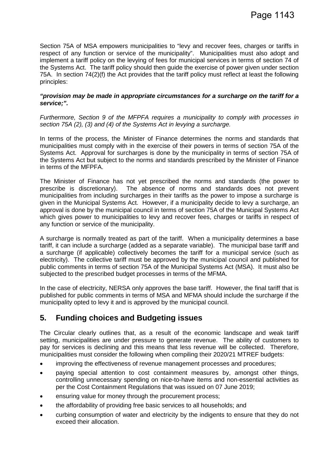Section 75A of MSA empowers municipalities to "levy and recover fees, charges or tariffs in respect of any function or service of the municipality". Municipalities must also adopt and implement a tariff policy on the levying of fees for municipal services in terms of section 74 of the Systems Act. The tariff policy should then guide the exercise of power given under section 75A. In section 74(2)(f) the Act provides that the tariff policy must reflect at least the following principles:

#### *"provision may be made in appropriate circumstances for a surcharge on the tariff for a service;".*

*Furthermore, Section 9 of the MFPFA requires a municipality to comply with processes in section 75A (2), (3) and (4) of the Systems Act in levying a surcharge.*

In terms of the process, the Minister of Finance determines the norms and standards that municipalities must comply with in the exercise of their powers in terms of section 75A of the Systems Act. Approval for surcharges is done by the municipality in terms of section 75A of the Systems Act but subject to the norms and standards prescribed by the Minister of Finance in terms of the MFPFA.

The Minister of Finance has not yet prescribed the norms and standards (the power to prescribe is discretionary). The absence of norms and standards does not prevent municipalities from including surcharges in their tariffs as the power to impose a surcharge is given in the Municipal Systems Act. However, if a municipality decide to levy a surcharge, an approval is done by the municipal council in terms of section 75A of the Municipal Systems Act which gives power to municipalities to levy and recover fees, charges or tariffs in respect of any function or service of the municipality.

A surcharge is normally treated as part of the tariff. When a municipality determines a base tariff, it can include a surcharge (added as a separate variable). The municipal base tariff and a surcharge (if applicable) collectively becomes the tariff for a municipal service (such as electricity). The collective tariff must be approved by the municipal council and published for public comments in terms of section 75A of the Municipal Systems Act (MSA). It must also be subjected to the prescribed budget processes in terms of the MFMA.

In the case of electricity, NERSA only approves the base tariff. However, the final tariff that is published for public comments in terms of MSA and MFMA should include the surcharge if the municipality opted to levy it and is approved by the municipal council.

# **5. Funding choices and Budgeting issues**

The Circular clearly outlines that, as a result of the economic landscape and weak tariff setting, municipalities are under pressure to generate revenue. The ability of customers to pay for services is declining and this means that less revenue will be collected. Therefore, municipalities must consider the following when compiling their 2020/21 MTREF budgets:

- improving the effectiveness of revenue management processes and procedures;
- paying special attention to cost containment measures by, amongst other things, controlling unnecessary spending on nice-to-have items and non-essential activities as per the Cost Containment Regulations that was issued on 07 June 2019;
- ensuring value for money through the procurement process;
- the affordability of providing free basic services to all households; and
- curbing consumption of water and electricity by the indigents to ensure that they do not exceed their allocation.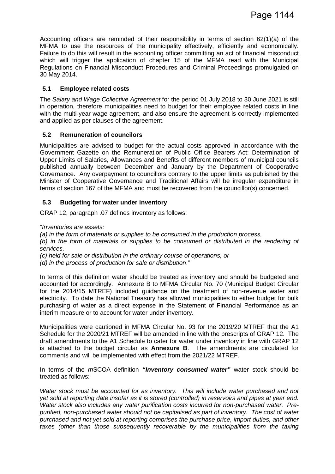Accounting officers are reminded of their responsibility in terms of section 62(1)(a) of the MFMA to use the resources of the municipality effectively, efficiently and economically. Failure to do this will result in the accounting officer committing an act of financial misconduct which will trigger the application of chapter 15 of the MFMA read with the Municipal Regulations on Financial Misconduct Procedures and Criminal Proceedings promulgated on 30 May 2014.

#### **5.1 Employee related costs**

The *Salary and Wage Collective Agreement* for the period 01 July 2018 to 30 June 2021 is still in operation, therefore municipalities need to budget for their employee related costs in line with the multi-year wage agreement, and also ensure the agreement is correctly implemented and applied as per clauses of the agreement.

#### **5.2 Remuneration of councilors**

Municipalities are advised to budget for the actual costs approved in accordance with the Government Gazette on the Remuneration of Public Office Bearers Act: Determination of Upper Limits of Salaries, Allowances and Benefits of different members of municipal councils published annually between December and January by the Department of Cooperative Governance. Any overpayment to councillors contrary to the upper limits as published by the Minister of Cooperative Governance and Traditional Affairs will be irregular expenditure in terms of section 167 of the MFMA and must be recovered from the councillor(s) concerned.

#### **5.3 Budgeting for water under inventory**

GRAP 12, paragraph .07 defines inventory as follows:

*"Inventories are assets:*

*(a) in the form of materials or supplies to be consumed in the production process,*

*(b) in the form of materials or supplies to be consumed or distributed in the rendering of services,* 

*(c) held for sale or distribution in the ordinary course of operations, or*

*(d) in the process of production for sale or distribution*."

In terms of this definition water should be treated as inventory and should be budgeted and accounted for accordingly. Annexure B to MFMA Circular No. 70 (Municipal Budget Circular for the 2014/15 MTREF) included guidance on the treatment of non-revenue water and electricity. To date the National Treasury has allowed municipalities to either budget for bulk purchasing of water as a direct expense in the Statement of Financial Performance as an interim measure or to account for water under inventory.

Municipalities were cautioned in MFMA Circular No. 93 for the 2019/20 MTREF that the A1 Schedule for the 2020/21 MTREF will be amended in line with the prescripts of GRAP 12. The draft amendments to the A1 Schedule to cater for water under inventory in line with GRAP 12 is attached to the budget circular as **Annexure B**. The amendments are circulated for comments and will be implemented with effect from the 2021/22 MTREF.

In terms of the *m*SCOA definition *"Inventory consumed water"* water stock should be treated as follows:

*Water stock must be accounted for as inventory. This will include water purchased and not yet sold at reporting date insofar as it is stored (controlled) in reservoirs and pipes at year end. Water stock also includes any water purification costs incurred for non-purchased water. Prepurified, non-purchased water should not be capitalised as part of inventory. The cost of water purchased and not yet sold at reporting comprises the purchase price, import duties, and other taxes (other than those subsequently recoverable by the municipalities from the taxing*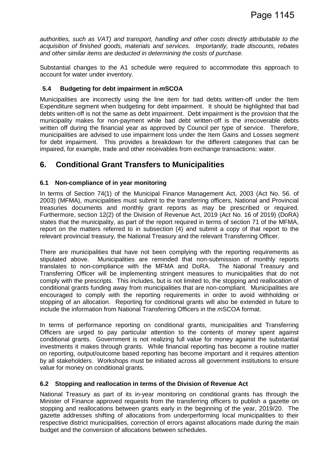*authorities, such as VAT) and transport, handling and other costs directly attributable to the acquisition of finished goods, materials and services. Importantly, trade discounts, rebates and other similar items are deducted in determining the costs of purchase.*

Substantial changes to the A1 schedule were required to accommodate this approach to account for water under inventory.

#### **5.4 Budgeting for debt impairment in** *m***SCOA**

Municipalities are incorrectly using the line item for bad debts written-off under the Item Expenditure segment when budgeting for debt impairment. It should be highlighted that bad debts written-off is not the same as debt impairment. Debt impairment is the provision that the municipality makes for non-payment while bad debt written-off is the irrecoverable debts written off during the financial year as approved by Council per type of service. Therefore, municipalities are advised to use impairment loss under the Item Gains and Losses segment for debt impairment. This provides a breakdown for the different categories that can be impaired, for example, trade and other receivables from exchange transactions: water.

## **6. Conditional Grant Transfers to Municipalities**

#### **6.1 Non-compliance of in year monitoring**

In terms of Section 74(1) of the Municipal Finance Management Act, 2003 (Act No. 56. of 2003) (MFMA), municipalities must submit to the transferring officers, National and Provincial treasuries documents and monthly grant reports as may be prescribed or required. Furthermore, section 12(2) of the Division of Revenue Act, 2019 (Act No. 16 of 2019) (DoRA) states that the municipality, as part of the report required in terms of section 71 of the MFMA, report on the matters referred to in subsection (4) and submit a copy of that report to the relevant provincial treasury, the National Treasury and the relevant Transferring Officer.

There are municipalities that have not been complying with the reporting requirements as stipulated above. Municipalities are reminded that non-submission of monthly reports translates to non-compliance with the MFMA and DoRA. The National Treasury and Transferring Officer will be implementing stringent measures to municipalities that do not comply with the prescripts. This includes, but is not limited to, the stopping and reallocation of conditional grants funding away from municipalities that are non-compliant. Municipalities are encouraged to comply with the reporting requirements in order to avoid withholding or stopping of an allocation. Reporting for conditional grants will also be extended in future to include the information from National Transferring Officers in the *m*SCOA format.

In terms of performance reporting on conditional grants, municipalities and Transferring Officers are urged to pay particular attention to the contents of money spent against conditional grants. Government is not realizing full value for money against the substantial investments it makes through grants. While financial reporting has become a routine matter on reporting, output/outcome based reporting has become important and it requires attention by all stakeholders. Workshops must be initiated across all government institutions to ensure value for money on conditional grants.

#### **6.2 Stopping and reallocation in terms of the Division of Revenue Act**

National Treasury as part of its in-year monitoring on conditional grants has through the Minister of Finance approved requests from the transferring officers to publish a gazette on stopping and reallocations between grants early in the beginning of the year, 2019/20. The gazette addresses shifting of allocations from underperforming local municipalities to their respective district municipalities, correction of errors against allocations made during the main budget and the conversion of allocations between schedules.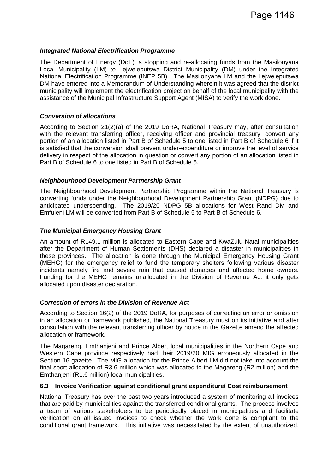#### *Integrated National Electrification Programme*

The Department of Energy (DoE) is stopping and re-allocating funds from the Masilonyana Local Municipality (LM) to Lejweleputswa District Municipality (DM) under the Integrated National Electrification Programme (INEP 5B). The Masilonyana LM and the Lejweleputswa DM have entered into a Memorandum of Understanding wherein it was agreed that the district municipality will implement the electrification project on behalf of the local municipality with the assistance of the Municipal Infrastructure Support Agent (MISA) to verify the work done.

#### *Conversion of allocations*

According to Section 21(2)(a) of the 2019 DoRA, National Treasury may, after consultation with the relevant transferring officer, receiving officer and provincial treasury, convert any portion of an allocation listed in Part B of Schedule 5 to one listed in Part B of Schedule 6 if it is satisfied that the conversion shall prevent under-expenditure or improve the level of service delivery in respect of the allocation in question or convert any portion of an allocation listed in Part B of Schedule 6 to one listed in Part B of Schedule 5.

#### *Neighbourhood Development Partnership Grant*

The Neighbourhood Development Partnership Programme within the National Treasury is converting funds under the Neighbourhood Development Partnership Grant (NDPG) due to anticipated underspending. The 2019/20 NDPG 5B allocations for West Rand DM and Emfuleni LM will be converted from Part B of Schedule 5 to Part B of Schedule 6.

#### *The Municipal Emergency Housing Grant*

An amount of R149.1 million is allocated to Eastern Cape and KwaZulu-Natal municipalities after the Department of Human Settlements (DHS) declared a disaster in municipalities in these provinces. The allocation is done through the Municipal Emergency Housing Grant (MEHG) for the emergency relief to fund the temporary shelters following various disaster incidents namely fire and severe rain that caused damages and affected home owners. Funding for the MEHG remains unallocated in the Division of Revenue Act it only gets allocated upon disaster declaration.

#### *Correction of errors in the Division of Revenue Act*

According to Section 16(2) of the 2019 DoRA, for purposes of correcting an error or omission in an allocation or framework published, the National Treasury must on its initiative and after consultation with the relevant transferring officer by notice in the Gazette amend the affected allocation or framework.

The Magareng, Emthanjeni and Prince Albert local municipalities in the Northern Cape and Western Cape province respectively had their 2019/20 MIG erroneously allocated in the Section 16 gazette. The MIG allocation for the Prince Albert LM did not take into account the final sport allocation of R3.6 million which was allocated to the Magareng (R2 million) and the Emthanjeni (R1.6 million) local municipalities.

#### **6.3 Invoice Verification against conditional grant expenditure/ Cost reimbursement**

National Treasury has over the past two years introduced a system of monitoring all invoices that are paid by municipalities against the transferred conditional grants. The process involves a team of various stakeholders to be periodically placed in municipalities and facilitate verification on all issued invoices to check whether the work done is compliant to the conditional grant framework. This initiative was necessitated by the extent of unauthorized,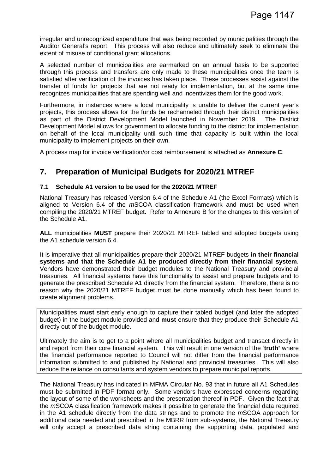irregular and unrecognized expenditure that was being recorded by municipalities through the Auditor General's report. This process will also reduce and ultimately seek to eliminate the extent of misuse of conditional grant allocations.

A selected number of municipalities are earmarked on an annual basis to be supported through this process and transfers are only made to these municipalities once the team is satisfied after verification of the invoices has taken place. These processes assist against the transfer of funds for projects that are not ready for implementation, but at the same time recognizes municipalities that are spending well and incentivizes them for the good work.

Furthermore, in instances where a local municipality is unable to deliver the current year's projects, this process allows for the funds be rechanneled through their district municipalities as part of the District Development Model launched in November 2019. The District Development Model allows for government to allocate funding to the district for implementation on behalf of the local municipality until such time that capacity is built within the local municipality to implement projects on their own.

A process map for invoice verification/or cost reimbursement is attached as **Annexure C**.

# **7. Preparation of Municipal Budgets for 2020/21 MTREF**

#### **7.1 Schedule A1 version to be used for the 2020/21 MTREF**

National Treasury has released Version 6.4 of the Schedule A1 (the Excel Formats) which is aligned to Version 6.4 of the *m*SCOA classification framework and must be used when compiling the 2020/21 MTREF budget. Refer to Annexure B for the changes to this version of the Schedule A1.

**ALL** municipalities **MUST** prepare their 2020/21 MTREF tabled and adopted budgets using the A1 schedule version 6.4.

It is imperative that all municipalities prepare their 2020/21 MTREF budgets **in their financial systems and that the Schedule A1 be produced directly from their financial system**. Vendors have demonstrated their budget modules to the National Treasury and provincial treasuries. All financial systems have this functionality to assist and prepare budgets and to generate the prescribed Schedule A1 directly from the financial system. Therefore, there is no reason why the 2020/21 MTREF budget must be done manually which has been found to create alignment problems.

Municipalities **must** start early enough to capture their tabled budget (and later the adopted budget) in the budget module provided and **must** ensure that they produce their Schedule A1 directly out of the budget module.

Ultimately the aim is to get to a point where all municipalities budget and transact directly in and report from their core financial system. This will result in one version of the '**truth'** where the financial performance reported to Council will not differ from the financial performance information submitted to and published by National and provincial treasuries. This will also reduce the reliance on consultants and system vendors to prepare municipal reports.

The National Treasury has indicated in MFMA Circular No. 93 that in future all A1 Schedules must be submitted in PDF format only. Some vendors have expressed concerns regarding the layout of some of the worksheets and the presentation thereof in PDF. Given the fact that the *m*SCOA classification framework makes it possible to generate the financial data required in the A1 schedule directly from the data strings and to promote the *m*SCOA approach for additional data needed and prescribed in the MBRR from sub-systems, the National Treasury will only accept a prescribed data string containing the supporting data, populated and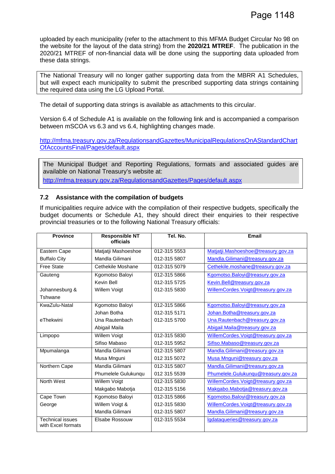uploaded by each municipality (refer to the attachment to this MFMA Budget Circular No 98 on the website for the layout of the data string) from the **2020/21 MTREF**. The publication in the 2020/21 MTREF of non-financial data will be done using the supporting data uploaded from these data strings.

The National Treasury will no longer gather supporting data from the MBRR A1 Schedules, but will expect each municipality to submit the prescribed supporting data strings containing the required data using the LG Upload Portal.

The detail of supporting data strings is available as attachments to this circular.

Version 6.4 of Schedule A1 is available on the following link and is accompanied a comparison between mSCOA vs 6.3 and vs 6.4, highlighting changes made.

http://mfma.treasury.gov.za/RegulationsandGazettes/MunicipalRegulationsOnAStandardChart OfAccountsFinal/Pages/default.aspx

The Municipal Budget and Reporting Regulations, formats and associated guides are available on National Treasury's website at: http://mfma.treasury.gov.za/RegulationsandGazettes/Pages/default.aspx

#### **7.2 Assistance with the compilation of budgets**

If municipalities require advice with the compilation of their respective budgets, specifically the budget documents or Schedule A1, they should direct their enquiries to their respective provincial treasuries or to the following National Treasury officials:

| <b>Province</b>                               | <b>Responsible NT</b><br>officials | Tel. No.     | <b>Email</b>                        |
|-----------------------------------------------|------------------------------------|--------------|-------------------------------------|
| Eastern Cape                                  | Matjatji Mashoeshoe                | 012-315 5553 | Matjatji.Mashoeshoe@treasury.gov.za |
| <b>Buffalo City</b>                           | Mandla Gilimani                    | 012-315 5807 | Mandla.Gilimani@treasury.gov.za     |
| <b>Free State</b>                             | Cethekile Moshane                  | 012-315 5079 | Cethekile.moshane@treasury.gov.za   |
| Gauteng                                       | Kgomotso Baloyi                    | 012-315 5866 | Kgomotso.Baloyi@treasury.gov.za     |
|                                               | <b>Kevin Bell</b>                  | 012-315 5725 | Kevin.Bell@treasury.gov.za          |
| Johannesburg &                                | Willem Voigt                       | 012-315 5830 | WillemCordes.Voigt@treasury.gov.za  |
| Tshwane                                       |                                    |              |                                     |
| KwaZulu-Natal                                 | Kgomotso Baloyi                    | 012-315 5866 | Kgomotso.Baloyi@treasury.gov.za     |
|                                               | Johan Botha                        | 012-315 5171 | Johan.Botha@treasury.gov.za         |
| eThekwini                                     | Una Rautenbach                     | 012-315 5700 | Una.Rautenbach@treasury.gov.za      |
|                                               | Abigail Maila                      |              | Abigail.Maila@treasury.gov.za       |
| Limpopo                                       | Willem Voigt                       | 012-315 5830 | WillemCordes.Voigt@treasury.gov.za  |
|                                               | Sifiso Mabaso                      | 012-315 5952 | Sifiso.Mabaso@treasury.gov.za       |
| Mpumalanga                                    | Mandla Gilimani                    | 012-315 5807 | Mandla.Gilimani@treasury.gov.za     |
|                                               | Musa Mnguni                        | 012 315 5072 | Musa Mnguni@treasury.gov.za         |
| Northern Cape                                 | Mandla Gilimani                    | 012-315 5807 | Mandla.Gilimani@treasury.gov.za     |
|                                               | Phumelele Gulukunqu                | 012 315 5539 | Phumelele.Gulukunqu@treasury.gov.za |
| North West                                    | Willem Voigt                       | 012-315 5830 | WillemCordes.Voigt@treasury.gov.za  |
|                                               | Makgabo Mabotja                    | 012-315 5156 | Makgabo.Mabotja@treasury.gov.za     |
| Cape Town                                     | Kgomotso Baloyi                    | 012-315 5866 | Kgomotso.Baloyi@treasury.gov.za     |
| George                                        | Willem Voigt &                     | 012-315 5830 | WillemCordes.Voigt@treasury.gov.za  |
|                                               | Mandla Gilimani                    | 012-315 5807 | Mandla.Gilimani@treasury.gov.za     |
| <b>Technical issues</b><br>with Excel formats | Elsabe Rossouw                     | 012-315 5534 | Igdataqueries@treasury.gov.za       |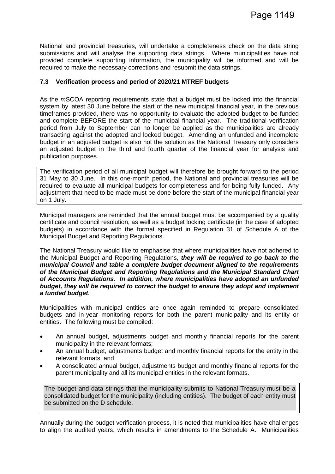National and provincial treasuries, will undertake a completeness check on the data string submissions and will analyse the supporting data strings. Where municipalities have not provided complete supporting information, the municipality will be informed and will be required to make the necessary corrections and resubmit the data strings.

#### **7.3 Verification process and period of 2020/21 MTREF budgets**

As the *m*SCOA reporting requirements state that a budget must be locked into the financial system by latest 30 June before the start of the new municipal financial year, in the previous timeframes provided, there was no opportunity to evaluate the adopted budget to be funded and complete BEFORE the start of the municipal financial year. The traditional verification period from July to September can no longer be applied as the municipalities are already transacting against the adopted and locked budget. Amending an unfunded and incomplete budget in an adjusted budget is also not the solution as the National Treasury only considers an adjusted budget in the third and fourth quarter of the financial year for analysis and publication purposes.

The verification period of all municipal budget will therefore be brought forward to the period 31 May to 30 June. In this one-month period, the National and provincial treasuries will be required to evaluate all municipal budgets for completeness and for being fully funded. Any adjustment that need to be made must be done before the start of the municipal financial year on 1 July.

Municipal managers are reminded that the annual budget must be accompanied by a quality certificate and council resolution, as well as a budget locking certificate (in the case of adopted budgets) in accordance with the format specified in Regulation 31 of Schedule A of the Municipal Budget and Reporting Regulations.

The National Treasury would like to emphasise that where municipalities have not adhered to the Municipal Budget and Reporting Regulations, *they will be required to go back to the municipal Council and table a complete budget document aligned to the requirements of the Municipal Budget and Reporting Regulations and the Municipal Standard Chart of Accounts Regulations. In addition, where municipalities have adopted an unfunded budget, they will be required to correct the budget to ensure they adopt and implement a funded budget.*

Municipalities with municipal entities are once again reminded to prepare consolidated budgets and in-year monitoring reports for both the parent municipality and its entity or entities. The following must be compiled:

- An annual budget, adjustments budget and monthly financial reports for the parent municipality in the relevant formats;
- An annual budget, adjustments budget and monthly financial reports for the entity in the relevant formats; and
- A consolidated annual budget, adjustments budget and monthly financial reports for the parent municipality and all its municipal entities in the relevant formats.

The budget and data strings that the municipality submits to National Treasury must be a consolidated budget for the municipality (including entities). The budget of each entity must be submitted on the D schedule.

Annually during the budget verification process, it is noted that municipalities have challenges to align the audited years, which results in amendments to the Schedule A. Municipalities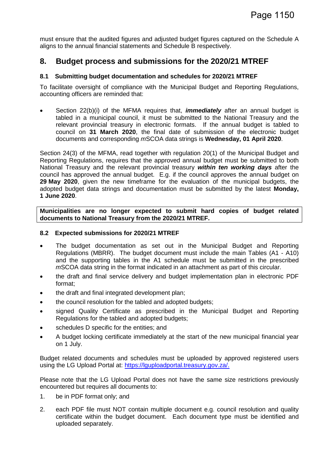must ensure that the audited figures and adjusted budget figures captured on the Schedule A aligns to the annual financial statements and Schedule B respectively.

### **8. Budget process and submissions for the 2020/21 MTREF**

#### **8.1 Submitting budget documentation and schedules for 2020/21 MTREF**

To facilitate oversight of compliance with the Municipal Budget and Reporting Regulations, accounting officers are reminded that:

• Section 22(b)(i) of the MFMA requires that, *immediately* after an annual budget is tabled in a municipal council, it must be submitted to the National Treasury and the relevant provincial treasury in electronic formats. If the annual budget is tabled to council on **31 March 2020**, the final date of submission of the electronic budget documents and corresponding *m*SCOA data strings is **Wednesday, 01 April 2020**.

Section 24(3) of the MFMA, read together with regulation 20(1) of the Municipal Budget and Reporting Regulations, requires that the approved annual budget must be submitted to both National Treasury and the relevant provincial treasury *within ten working days* after the council has approved the annual budget. E.g. if the council approves the annual budget on **29 May 2020**, given the new timeframe for the evaluation of the municipal budgets, the adopted budget data strings and documentation must be submitted by the latest **Monday, 1 June 2020**.

**Municipalities are no longer expected to submit hard copies of budget related documents to National Treasury from the 2020/21 MTREF.**

#### **8.2 Expected submissions for 2020/21 MTREF**

- The budget documentation as set out in the Municipal Budget and Reporting Regulations (MBRR). The budget document must include the main Tables (A1 - A10) and the supporting tables in the A1 schedule must be submitted in the prescribed *m*SCOA data string in the format indicated in an attachment as part of this circular.
- the draft and final service delivery and budget implementation plan in electronic PDF format;
- the draft and final integrated development plan;
- the council resolution for the tabled and adopted budgets;
- signed Quality Certificate as prescribed in the Municipal Budget and Reporting Regulations for the tabled and adopted budgets;
- schedules D specific for the entities; and
- A budget locking certificate immediately at the start of the new municipal financial year on 1 July.

Budget related documents and schedules must be uploaded by approved registered users using the LG Upload Portal at: https://lguploadportal.treasury.gov.za/.

Please note that the LG Upload Portal does not have the same size restrictions previously encountered but requires all documents to:

- 1. be in PDF format only; and
- 2. each PDF file must NOT contain multiple document e.g. council resolution and quality certificate within the budget document. Each document type must be identified and uploaded separately.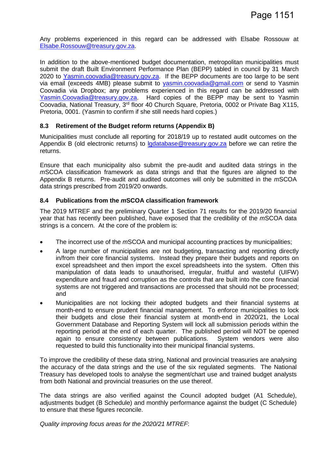Any problems experienced in this regard can be addressed with Elsabe Rossouw at Elsabe.Rossouw@treasury.gov.za.

In addition to the above-mentioned budget documentation, metropolitan municipalities must submit the draft Built Environment Performance Plan (BEPP) tabled in council by 31 March 2020 to Yasmin.coovadia@treasury.gov.za. If the BEPP documents are too large to be sent via email (exceeds 4MB) please submit to yasmin.coovadia@gmail.com or send to Yasmin Coovadia via Dropbox; any problems experienced in this regard can be addressed with Yasmin.Coovadia@treasury.gov.za. Hard copies of the BEPP may be sent to Yasmin Coovadia, National Treasury, 3rd floor 40 Church Square, Pretoria, 0002 or Private Bag X115, Pretoria, 0001. (Yasmin to confirm if she still needs hard copies.)

#### **8.3 Retirement of the Budget reform returns (Appendix B)**

Municipalities must conclude all reporting for 2018/19 up to restated audit outcomes on the Appendix B (old electronic returns) to lgdatabase@treasury.gov.za before we can retire the returns.

Ensure that each municipality also submit the pre-audit and audited data strings in the *m*SCOA classification framework as data strings and that the figures are aligned to the Appendix B returns. Pre-audit and audited outcomes will only be submitted in the *m*SCOA data strings prescribed from 2019/20 onwards.

#### **8.4 Publications from the** *m***SCOA classification framework**

The 2019 MTREF and the preliminary Quarter 1 Section 71 results for the 2019/20 financial year that has recently been published, have exposed that the credibility of the *m*SCOA data strings is a concern. At the core of the problem is:

- The incorrect use of the *m*SCOA and municipal accounting practices by municipalities;
- A large number of municipalities are not budgeting, transacting and reporting directly in/from their core financial systems. Instead they prepare their budgets and reports on excel spreadsheet and then import the excel spreadsheets into the system. Often this manipulation of data leads to unauthorised, irregular, fruitful and wasteful (UIFW) expenditure and fraud and corruption as the controls that are built into the core financial systems are not triggered and transactions are processed that should not be processed; and
- Municipalities are not locking their adopted budgets and their financial systems at month-end to ensure prudent financial management. To enforce municipalities to lock their budgets and close their financial system at month-end in 2020/21, the Local Government Database and Reporting System will lock all submission periods within the reporting period at the end of each quarter. The published period will NOT be opened again to ensure consistency between publications. System vendors were also requested to build this functionality into their municipal financial systems.

To improve the credibility of these data string, National and provincial treasuries are analysing the accuracy of the data strings and the use of the six regulated segments. The National Treasury has developed tools to analyse the segment/chart use and trained budget analysts from both National and provincial treasuries on the use thereof.

The data strings are also verified against the Council adopted budget (A1 Schedule), adjustments budget (B Schedule) and monthly performance against the budget (C Schedule) to ensure that these figures reconcile.

*Quality improving focus areas for the 2020/21 MTREF*: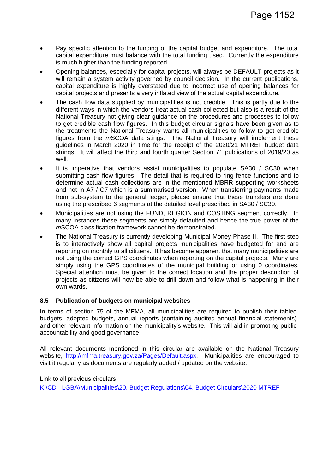- Pay specific attention to the funding of the capital budget and expenditure. The total capital expenditure must balance with the total funding used. Currently the expenditure is much higher than the funding reported.
- Opening balances, especially for capital projects, will always be DEFAULT projects as it will remain a system activity governed by council decision. In the current publications, capital expenditure is highly overstated due to incorrect use of opening balances for capital projects and presents a very inflated view of the actual capital expenditure.
- The cash flow data supplied by municipalities is not credible. This is partly due to the different ways in which the vendors treat actual cash collected but also is a result of the National Treasury not giving clear guidance on the procedures and processes to follow to get credible cash flow figures. In this budget circular signals have been given as to the treatments the National Treasury wants all municipalities to follow to get credible figures from the *m*SCOA data stings. The National Treasury will implement these guidelines in March 2020 in time for the receipt of the 2020/21 MTREF budget data strings. It will affect the third and fourth quarter Section 71 publications of 2019/20 as well.
- It is imperative that vendors assist municipalities to populate SA30 / SC30 when submitting cash flow figures. The detail that is required to ring fence functions and to determine actual cash collections are in the mentioned MBRR supporting worksheets and not in A7 / C7 which is a summarised version. When transferring payments made from sub-system to the general ledger, please ensure that these transfers are done using the prescribed 6 segments at the detailed level prescribed in SA30 / SC30.
- Municipalities are not using the FUND, REGION and COSTING segment correctly. In many instances these segments are simply defaulted and hence the true power of the *m*SCOA classification framework cannot be demonstrated.
- The National Treasury is currently developing Municipal Money Phase II. The first step is to interactively show all capital projects municipalities have budgeted for and are reporting on monthly to all citizens. It has become apparent that many municipalities are not using the correct GPS coordinates when reporting on the capital projects. Many are simply using the GPS coordinates of the municipal building or using 0 coordinates. Special attention must be given to the correct location and the proper description of projects as citizens will now be able to drill down and follow what is happening in their own wards.

#### **8.5 Publication of budgets on municipal websites**

In terms of section 75 of the MFMA, all municipalities are required to publish their tabled budgets, adopted budgets, annual reports (containing audited annual financial statements) and other relevant information on the municipality's website. This will aid in promoting public accountability and good governance.

All relevant documents mentioned in this circular are available on the National Treasury website, http://mfma.treasury.gov.za/Pages/Default.aspx. Municipalities are encouraged to visit it regularly as documents are regularly added / updated on the website.

Link to all previous circulars K:\CD - LGBA\Municipalities\20. Budget Regulations\04. Budget Circulars\2020 MTREF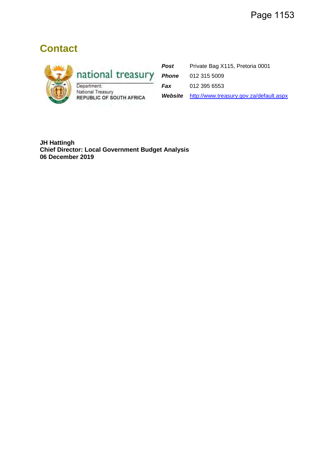# **Contact**



national treasury

National Treasury **REPUBLIC OF SOUTH AFRICA** 

Post Private Bag X115, Pretoria 0001 *Phone* 012 315 5009 *Fax* 012 395 6553

*Website* http://www.treasury.gov.za/default.aspx

**JH Hattingh Chief Director: Local Government Budget Analysis 06 December 2019**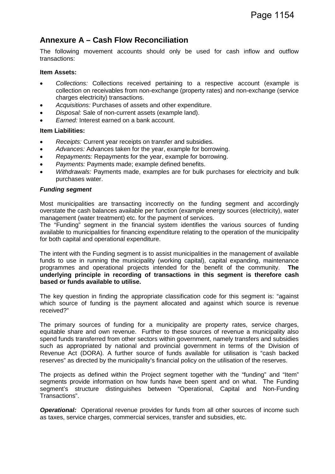# **Annexure A – Cash Flow Reconciliation**

The following movement accounts should only be used for cash inflow and outflow transactions:

#### **Item Assets:**

- *Collections:* Collections received pertaining to a respective account (example is collection on receivables from non-exchange (property rates) and non-exchange (service charges electricity) transactions.
- *Acquisitions:* Purchases of assets and other expenditure.
- *Disposal:* Sale of non-current assets (example land).
- *Earned:* Interest earned on a bank account.

#### **Item Liabilities:**

- *Receipts:* Current year receipts on transfer and subsidies.
- *Advances:* Advances taken for the year, example for borrowing.
- *Repayments:* Repayments for the year, example for borrowing.
- *Payments:* Payments made; example defined benefits.
- *Withdrawals:* Payments made, examples are for bulk purchases for electricity and bulk purchases water.

#### *Funding segment*

Most municipalities are transacting incorrectly on the funding segment and accordingly overstate the cash balances available per function (example energy sources (electricity), water management (water treatment) etc. for the payment of services.

The "Funding" segment in the financial system identifies the various sources of funding available to municipalities for financing expenditure relating to the operation of the municipality for both capital and operational expenditure.

The intent with the Funding segment is to assist municipalities in the management of available funds to use in running the municipality (working capital), capital expanding, maintenance programmes and operational projects intended for the benefit of the community. **The underlying principle in recording of transactions in this segment is therefore cash based or funds available to utilise.**

The key question in finding the appropriate classification code for this segment is: "against which source of funding is the payment allocated and against which source is revenue received?"

The primary sources of funding for a municipality are property rates, service charges, equitable share and own revenue. Further to these sources of revenue a municipality also spend funds transferred from other sectors within government, namely transfers and subsidies such as appropriated by national and provincial government in terms of the Division of Revenue Act (DORA). A further source of funds available for utilisation is "cash backed reserves" as directed by the municipality's financial policy on the utilisation of the reserves.

The projects as defined within the Project segment together with the "funding" and "Item" segments provide information on how funds have been spent and on what. The Funding segment's structure distinguishes between "Operational, Capital and Non-Funding Transactions".

**Operational:** Operational revenue provides for funds from all other sources of income such as taxes, service charges, commercial services, transfer and subsidies, etc.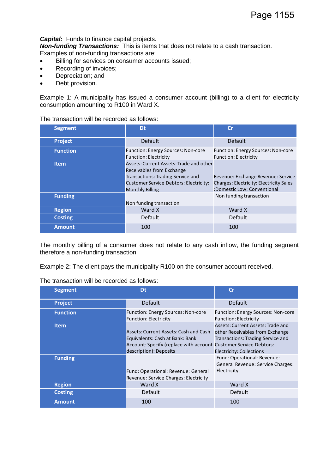#### *Capital:* Funds to finance capital projects.

*Non-funding Transactions:* This is items that does not relate to a cash transaction. Examples of non-funding transactions are:

- Billing for services on consumer accounts issued;
- Recording of invoices;
- Depreciation; and
- Debt provision.

Example 1: A municipality has issued a consumer account (billing) to a client for electricity consumption amounting to R100 in Ward X.

The transaction will be recorded as follows:

| <b>Segment</b>  | Dt                                                                                                                                                                                   | Cr                                                                                                                  |
|-----------------|--------------------------------------------------------------------------------------------------------------------------------------------------------------------------------------|---------------------------------------------------------------------------------------------------------------------|
| <b>Project</b>  | <b>Default</b>                                                                                                                                                                       | Default                                                                                                             |
| <b>Function</b> | <b>Function: Energy Sources: Non-core</b><br><b>Function: Electricity</b>                                                                                                            | Function: Energy Sources: Non-core<br><b>Function: Electricity</b>                                                  |
| Item.           | Assets: Current Assets: Trade and other<br>Receivables from Exchange<br><b>Transactions: Trading Service and</b><br>Customer Service Debtors: Electricity:<br><b>Monthly Billing</b> | Revenue: Exchange Revenue: Service<br><b>Charges: Electricity: Electricity Sales</b><br>:Domestic Low: Conventional |
| <b>Funding</b>  | Non funding transaction                                                                                                                                                              | Non funding transaction                                                                                             |
| <b>Region</b>   | Ward X                                                                                                                                                                               | Ward X                                                                                                              |
| <b>Costing</b>  | Default                                                                                                                                                                              | <b>Default</b>                                                                                                      |
| <b>Amount</b>   | 100                                                                                                                                                                                  | 100                                                                                                                 |

The monthly billing of a consumer does not relate to any cash inflow, the funding segment therefore a non-funding transaction.

Example 2: The client pays the municipality R100 on the consumer account received.

| The transaction will be recorded as follows: |  |  |
|----------------------------------------------|--|--|
|----------------------------------------------|--|--|

| <b>Segment</b>  | Dt                                                                                                                                                                     | Cr                                                                                                                                                  |
|-----------------|------------------------------------------------------------------------------------------------------------------------------------------------------------------------|-----------------------------------------------------------------------------------------------------------------------------------------------------|
| <b>Project</b>  | <b>Default</b>                                                                                                                                                         | <b>Default</b>                                                                                                                                      |
| <b>Function</b> | <b>Function: Energy Sources: Non-core</b><br><b>Function: Electricity</b>                                                                                              | <b>Function: Energy Sources: Non-core</b><br><b>Function: Electricity</b>                                                                           |
| <b>Item</b>     | Assets: Current Assets: Cash and Cash<br>Equivalents: Cash at Bank: Bank<br>Account: Specify (replace with account Customer Service Debtors:<br>description): Deposits | Assets: Current Assets: Trade and<br>other Receivables from Exchange<br><b>Transactions: Trading Service and</b><br><b>Electricity: Collections</b> |
| <b>Funding</b>  | Fund: Operational: Revenue: General<br>Revenue: Service Charges: Electricity                                                                                           | Fund: Operational: Revenue:<br>General Revenue: Service Charges:<br>Electricity                                                                     |
| <b>Region</b>   | Ward X                                                                                                                                                                 | Ward X                                                                                                                                              |
| <b>Costing</b>  | Default                                                                                                                                                                | <b>Default</b>                                                                                                                                      |
| <b>Amount</b>   | 100                                                                                                                                                                    | 100                                                                                                                                                 |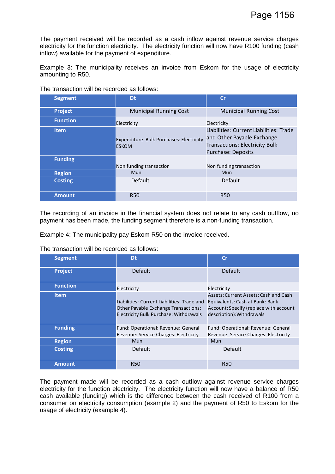The payment received will be recorded as a cash inflow against revenue service charges electricity for the function electricity. The electricity function will now have R100 funding (cash inflow) available for the payment of expenditure.

Example 3: The municipality receives an invoice from Eskom for the usage of electricity amounting to R50.

| <b>Segment</b>  | Dt                                                        | Cr                                                                                                                                   |
|-----------------|-----------------------------------------------------------|--------------------------------------------------------------------------------------------------------------------------------------|
| <b>Project</b>  | <b>Municipal Running Cost</b>                             | <b>Municipal Running Cost</b>                                                                                                        |
| <b>Function</b> | Electricity                                               | Electricity                                                                                                                          |
| <b>Item</b>     | Expenditure: Bulk Purchases: Electricity:<br><b>ESKOM</b> | Liabilities: Current Liabilities: Trade<br>and Other Payable Exchange<br><b>Transactions: Electricity Bulk</b><br>Purchase: Deposits |
| <b>Funding</b>  | Non funding transaction                                   | Non funding transaction                                                                                                              |
| <b>Region</b>   | Mun                                                       | Mun                                                                                                                                  |
| <b>Costing</b>  | Default                                                   | <b>Default</b>                                                                                                                       |
| <b>Amount</b>   | <b>R50</b>                                                | <b>R50</b>                                                                                                                           |

The transaction will be recorded as follows:

The recording of an invoice in the financial system does not relate to any cash outflow, no payment has been made, the funding segment therefore is a non-funding transaction.

Example 4: The municipality pay Eskom R50 on the invoice received.

The transaction will be recorded as follows:

| <b>Segment</b>  | Dt                                                                                                                                   | Cr                                                                                                                                              |
|-----------------|--------------------------------------------------------------------------------------------------------------------------------------|-------------------------------------------------------------------------------------------------------------------------------------------------|
| <b>Project</b>  | <b>Default</b>                                                                                                                       | <b>Default</b>                                                                                                                                  |
| <b>Function</b> | Electricity                                                                                                                          | Electricity                                                                                                                                     |
| <b>Item</b>     | Liabilities: Current Liabilities: Trade and<br><b>Other Payable Exchange Transactions:</b><br>Electricity Bulk Purchase: Withdrawals | Assets: Current Assets: Cash and Cash<br>Equivalents: Cash at Bank: Bank<br>Account: Specify (replace with account<br>description): Withdrawals |
| <b>Funding</b>  | Fund: Operational: Revenue: General<br>Revenue: Service Charges: Electricity                                                         | Fund: Operational: Revenue: General<br>Revenue: Service Charges: Electricity                                                                    |
| <b>Region</b>   | <b>Mun</b>                                                                                                                           | Mun                                                                                                                                             |
| <b>Costing</b>  | Default                                                                                                                              | Default                                                                                                                                         |
| <b>Amount</b>   | <b>R50</b>                                                                                                                           | <b>R50</b>                                                                                                                                      |

The payment made will be recorded as a cash outflow against revenue service charges electricity for the function electricity. The electricity function will now have a balance of R50 cash available (funding) which is the difference between the cash received of R100 from a consumer on electricity consumption (example 2) and the payment of R50 to Eskom for the usage of electricity (example 4).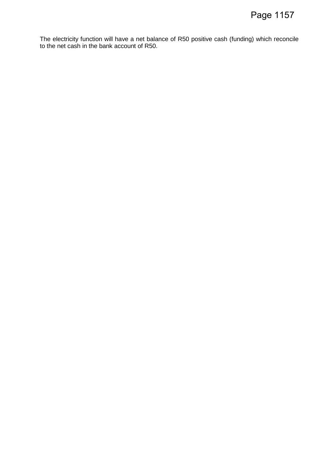The electricity function will have a net balance of R50 positive cash (funding) which reconcile to the net cash in the bank account of R50.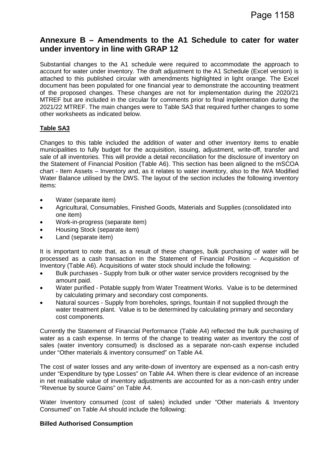## **Annexure B – Amendments to the A1 Schedule to cater for water under inventory in line with GRAP 12**

Substantial changes to the A1 schedule were required to accommodate the approach to account for water under inventory. The draft adjustment to the A1 Schedule (Excel version) is attached to this published circular with amendments highlighted in light orange. The Excel document has been populated for one financial year to demonstrate the accounting treatment of the proposed changes. These changes are not for implementation during the 2020/21 MTREF but are included in the circular for comments prior to final implementation during the 2021/22 MTREF. The main changes were to Table SA3 that required further changes to some other worksheets as indicated below.

#### **Table SA3**

Changes to this table included the addition of water and other inventory items to enable municipalities to fully budget for the acquisition, issuing, adjustment, write-off, transfer and sale of all inventories. This will provide a detail reconciliation for the disclosure of inventory on the Statement of Financial Position (Table A6). This section has been aligned to the mSCOA chart - Item Assets – Inventory and, as it relates to water inventory, also to the IWA Modified Water Balance utilised by the DWS. The layout of the section includes the following inventory items:

- Water (separate item)
- Agricultural, Consumables, Finished Goods, Materials and Supplies (consolidated into one item)
- Work-in-progress (separate item)
- Housing Stock (separate item)
- Land (separate item)

It is important to note that, as a result of these changes, bulk purchasing of water will be processed as a cash transaction in the Statement of Financial Position – Acquisition of Inventory (Table A6). Acquisitions of water stock should include the following:

- Bulk purchases Supply from bulk or other water service providers recognised by the amount paid.
- Water purified Potable supply from Water Treatment Works. Value is to be determined by calculating primary and secondary cost components.
- Natural sources Supply from boreholes, springs, fountain if not supplied through the water treatment plant. Value is to be determined by calculating primary and secondary cost components.

Currently the Statement of Financial Performance (Table A4) reflected the bulk purchasing of water as a cash expense. In terms of the change to treating water as inventory the cost of sales (water inventory consumed) is disclosed as a separate non-cash expense included under "Other materials & inventory consumed" on Table A4.

The cost of water losses and any write-down of inventory are expensed as a non-cash entry under "Expenditure by type Losses" on Table A4. When there is clear evidence of an increase in net realisable value of inventory adjustments are accounted for as a non-cash entry under "Revenue by source Gains" on Table A4.

Water Inventory consumed (cost of sales) included under "Other materials & Inventory Consumed" on Table A4 should include the following:

#### **Billed Authorised Consumption**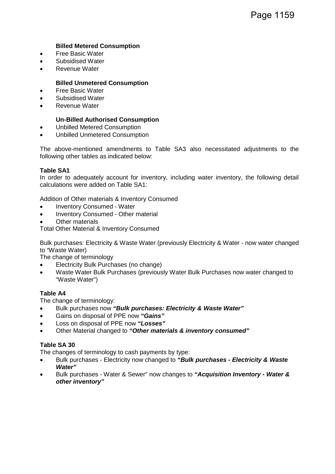#### **Billed Metered Consumption**

- Free Basic Water
- Subsidised Water
- Revenue Water

#### **Billed Unmetered Consumption**

- Free Basic Water
- Subsidised Water
- Revenue Water

#### **Un-Billed Authorised Consumption**

- Unbilled Metered Consumption
- Unbilled Unmetered Consumption

The above-mentioned amendments to Table SA3 also necessitated adjustments to the following other tables as indicated below:

#### **Table SA1**

In order to adequately account for inventory, including water inventory, the following detail calculations were added on Table SA1:

Addition of Other materials & Inventory Consumed

- Inventory Consumed Water
- Inventory Consumed Other material
- **Other materials**

Total Other Material & Inventory Consumed

Bulk purchases: Electricity & Waste Water (previously Electricity & Water - now water changed to "Waste Water)

The change of terminology

- Electricity Bulk Purchases (no change)
- Waste Water Bulk Purchases (previously Water Bulk Purchases now water changed to "Waste Water")

#### **Table A4**

The change of terminology:

- Bulk purchases now *"Bulk purchases: Electricity & Waste Water"*
- Gains on disposal of PPE now *"Gains"*
- Loss on disposal of PPE now *"Losses"*
- Other Material changed to *"Other materials & inventory consumed"*

#### **Table SA 30**

The changes of terminology to cash payments by type:

- Bulk purchases Electricity now changed to *"Bulk purchases Electricity & Waste Water"*
- Bulk purchases Water & Sewer" now changes to *"Acquisition Inventory Water & other inventory"*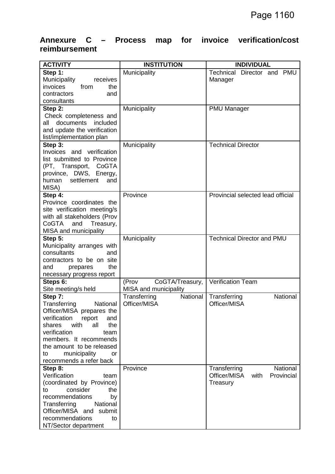# **Annexure C – Process map for invoice verification/cost reimbursement**

| <b>ACTIVITY</b>               | <b>INSTITUTION</b>       | <b>INDIVIDUAL</b>                  |
|-------------------------------|--------------------------|------------------------------------|
| Step 1:                       | Municipality             | Technical<br>Director and PMU      |
| Municipality<br>receives      |                          | Manager                            |
| invoices<br>from<br>the       |                          |                                    |
| contractors<br>and            |                          |                                    |
| consultants                   |                          |                                    |
| Step 2:                       | Municipality             | <b>PMU Manager</b>                 |
| Check completeness and        |                          |                                    |
| documents included<br>all     |                          |                                    |
| and update the verification   |                          |                                    |
| list/implementation plan      |                          |                                    |
| Step 3:                       | Municipality             | <b>Technical Director</b>          |
| Invoices and verification     |                          |                                    |
| list submitted to Province    |                          |                                    |
| (PT, Transport, CoGTA         |                          |                                    |
| province, DWS, Energy,        |                          |                                    |
| settlement<br>human<br>and    |                          |                                    |
| MISA)                         |                          |                                    |
| Step 4:                       | Province                 | Provincial selected lead official  |
| Province coordinates the      |                          |                                    |
| site verification meeting/s   |                          |                                    |
| with all stakeholders (Prov   |                          |                                    |
| CoGTA<br>Treasury,<br>and     |                          |                                    |
| MISA and municipality         |                          |                                    |
| Step 5:                       | Municipality             | <b>Technical Director and PMU</b>  |
| Municipality arranges with    |                          |                                    |
| consultants<br>and            |                          |                                    |
| contractors to be on site     |                          |                                    |
| the<br>and<br>prepares        |                          |                                    |
| necessary progress report     |                          |                                    |
| Steps 6:                      | CoGTA/Treasury,<br>(Prov | <b>Verification Team</b>           |
| Site meeting/s held           | MISA and municipality    |                                    |
| Step 7:                       | Transferring<br>National | National<br>Transferring           |
| Transferring<br>National      | Officer/MISA             | Officer/MISA                       |
| Officer/MISA prepares the     |                          |                                    |
| verification<br>report<br>and |                          |                                    |
| with<br>the<br>shares<br>all  |                          |                                    |
| verification<br>team          |                          |                                    |
| members. It recommends        |                          |                                    |
| the amount to be released     |                          |                                    |
| municipality<br>to<br>or      |                          |                                    |
| recommends a refer back       |                          |                                    |
| Step 8:                       | Province                 | National<br>Transferring           |
| Verification<br>team          |                          | Officer/MISA<br>with<br>Provincial |
| (coordinated by Province)     |                          | Treasury                           |
| consider<br>the<br>to         |                          |                                    |
| recommendations<br>by         |                          |                                    |
| National<br>Transferring      |                          |                                    |
| Officer/MISA and<br>submit    |                          |                                    |
| recommendations<br>to         |                          |                                    |
| NT/Sector department          |                          |                                    |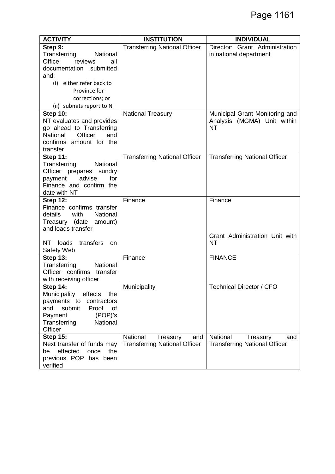| <b>ACTIVITY</b>                 | <b>INSTITUTION</b>                   | <b>INDIVIDUAL</b>                    |
|---------------------------------|--------------------------------------|--------------------------------------|
| Step 9:                         | <b>Transferring National Officer</b> | Director: Grant Administration       |
| Transferring<br>National        |                                      | in national department               |
| Office<br>reviews<br>all        |                                      |                                      |
| documentation submitted         |                                      |                                      |
| and:                            |                                      |                                      |
| (i) either refer back to        |                                      |                                      |
| Province for                    |                                      |                                      |
| corrections; or                 |                                      |                                      |
| (ii) submits report to NT       |                                      |                                      |
| <b>Step 10:</b>                 | <b>National Treasury</b>             | Municipal Grant Monitoring and       |
| NT evaluates and provides       |                                      | Analysis (MGMA) Unit within          |
| go ahead to Transferring        |                                      | <b>NT</b>                            |
| Officer<br>National<br>and      |                                      |                                      |
| confirms amount for the         |                                      |                                      |
| transfer                        |                                      |                                      |
| <b>Step 11:</b>                 | <b>Transferring National Officer</b> | <b>Transferring National Officer</b> |
| Transferring<br>National        |                                      |                                      |
| Officer prepares sundry         |                                      |                                      |
| advise<br>payment<br>for        |                                      |                                      |
| Finance and confirm the         |                                      |                                      |
| date with NT                    |                                      |                                      |
| <b>Step 12:</b>                 | Finance                              | Finance                              |
| Finance confirms transfer       |                                      |                                      |
| with<br>National<br>details     |                                      |                                      |
| Treasury (date amount)          |                                      |                                      |
| and loads transfer              |                                      |                                      |
|                                 |                                      | Grant Administration Unit with       |
| transfers<br>NT<br>loads<br>on. |                                      | <b>NT</b>                            |
| Safety Web                      |                                      |                                      |
| <b>Step 13:</b>                 | Finance                              | <b>FINANCE</b>                       |
| Transferring<br>National        |                                      |                                      |
| Officer confirms<br>transfer    |                                      |                                      |
| with receiving officer          |                                      |                                      |
| <b>Step 14:</b>                 | Municipality                         | <b>Technical Director / CFO</b>      |
| Municipality<br>effects<br>the  |                                      |                                      |
| payments to<br>contractors      |                                      |                                      |
| submit<br>Proof<br>and<br>οf    |                                      |                                      |
| (POP)'s<br>Payment              |                                      |                                      |
| Transferring<br><b>National</b> |                                      |                                      |
| Officer                         |                                      |                                      |
| <b>Step 15:</b>                 | National<br>Treasury<br>and          | National<br>Treasury<br>and          |
| Next transfer of funds may      | <b>Transferring National Officer</b> | <b>Transferring National Officer</b> |
| effected<br>be<br>once<br>the   |                                      |                                      |
| previous POP has been           |                                      |                                      |
| verified                        |                                      |                                      |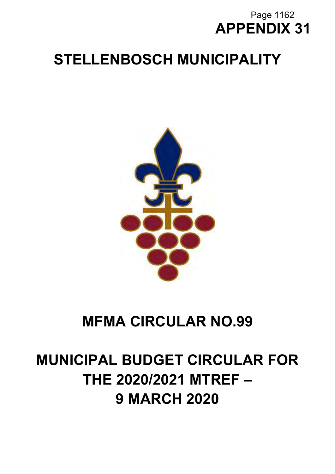# **APPENDIX 31** Page 1162

# **STELLENBOSCH MUNICIPALITY**



# **MFMA CIRCULAR NO.99**

# **MUNICIPAL BUDGET CIRCULAR FOR THE 2020/2021 MTREF – 9 MARCH 2020**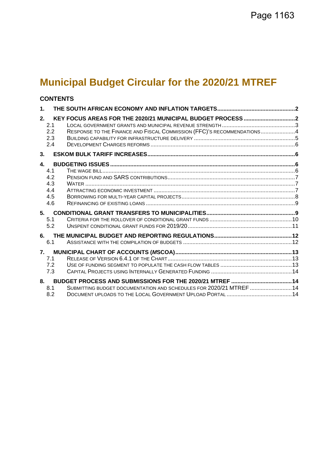# **Municipal Budget Circular for the 2020/21 MTREF**

# **CONTENTS**

| $\mathbf{1}$ .                                         |                                                                        |  |
|--------------------------------------------------------|------------------------------------------------------------------------|--|
| 2.<br>2.1<br>2.2<br>2.3<br>2.4                         | RESPONSE TO THE FINANCE AND FISCAL COMMISSION (FFC)'S RECOMMENDATIONS4 |  |
| 3.                                                     |                                                                        |  |
| $\mathbf{A}$<br>4.1<br>4.2<br>4.3<br>4.4<br>4.5<br>4.6 |                                                                        |  |
| 5.<br>5.1<br>5.2                                       |                                                                        |  |
| 6.<br>6.1                                              |                                                                        |  |
| 7.<br>71<br>7.2<br>7.3                                 |                                                                        |  |
| 8.<br>8.1<br>8.2                                       | SUBMITTING BUDGET DOCUMENTATION AND SCHEDULES FOR 2020/21 MTREF 14     |  |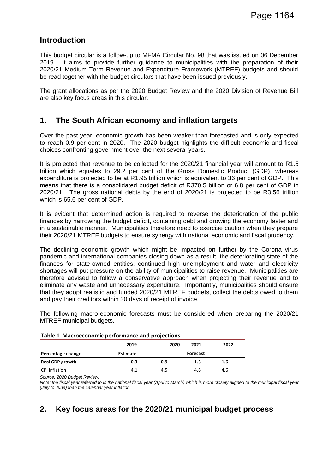# **Introduction**

This budget circular is a follow-up to MFMA Circular No. 98 that was issued on 06 December 2019. It aims to provide further guidance to municipalities with the preparation of their 2020/21 Medium Term Revenue and Expenditure Framework (MTREF) budgets and should be read together with the budget circulars that have been issued previously.

The grant allocations as per the 2020 Budget Review and the 2020 Division of Revenue Bill are also key focus areas in this circular.

# **1. The South African economy and inflation targets**

Over the past year, economic growth has been weaker than forecasted and is only expected to reach 0.9 per cent in 2020. The 2020 budget highlights the difficult economic and fiscal choices confronting government over the next several years.

It is projected that revenue to be collected for the 2020/21 financial year will amount to R1.5 trillion which equates to 29.2 per cent of the Gross Domestic Product (GDP), whereas expenditure is projected to be at R1.95 trillion which is equivalent to 36 per cent of GDP. This means that there is a consolidated budget deficit of R370.5 billion or 6.8 per cent of GDP in 2020/21. The gross national debts by the end of 2020/21 is projected to be R3.56 trillion which is 65.6 per cent of GDP.

It is evident that determined action is required to reverse the deterioration of the public finances by narrowing the budget deficit, containing debt and growing the economy faster and in a sustainable manner. Municipalities therefore need to exercise caution when they prepare their 2020/21 MTREF budgets to ensure synergy with national economic and fiscal prudency.

The declining economic growth which might be impacted on further by the Corona virus pandemic and international companies closing down as a result, the deteriorating state of the finances for state-owned entities, continued high unemployment and water and electricity shortages will put pressure on the ability of municipalities to raise revenue. Municipalities are therefore advised to follow a conservative approach when projecting their revenue and to eliminate any waste and unnecessary expenditure. Importantly, municipalities should ensure that they adopt realistic and funded 2020/21 MTREF budgets, collect the debts owed to them and pay their creditors within 30 days of receipt of invoice.

The following macro-economic forecasts must be considered when preparing the 2020/21 MTREF municipal budgets.

| Table 1 Ividu decondition performance and projections |                 |      |          |      |  |  |
|-------------------------------------------------------|-----------------|------|----------|------|--|--|
|                                                       | 2019            | 2020 | 2021     | 2022 |  |  |
| Percentage change                                     | <b>Estimate</b> |      | Forecast |      |  |  |
| <b>Real GDP growth</b>                                | 0.3             | 0.9  | 1.3      | 1.6  |  |  |
| CPI inflation                                         | 4.1             | 4.5  | 4.6      | 4.6  |  |  |

#### **Table 1 Macroeconomic performance and projections**

*Source: 2020 Budget Review.* 

*Note: the fiscal year referred to is the national fiscal year (April to March) which is more closely aligned to the municipal fiscal year (July to June) than the calendar year inflation.* 

# **2. Key focus areas for the 2020/21 municipal budget process**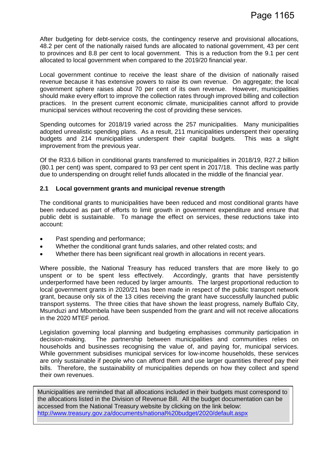After budgeting for debt-service costs, the contingency reserve and provisional allocations, 48.2 per cent of the nationally raised funds are allocated to national government, 43 per cent to provinces and 8.8 per cent to local government. This is a reduction from the 9.1 per cent allocated to local government when compared to the 2019/20 financial year.

Local government continue to receive the least share of the division of nationally raised revenue because it has extensive powers to raise its own revenue. On aggregate; the local government sphere raises about 70 per cent of its own revenue. However, municipalities should make every effort to improve the collection rates through improved billing and collection practices. In the present current economic climate, municipalities cannot afford to provide municipal services without recovering the cost of providing these services.

Spending outcomes for 2018/19 varied across the 257 municipalities. Many municipalities adopted unrealistic spending plans. As a result, 211 municipalities underspent their operating budgets and 214 municipalities underspent their capital budgets. This was a slight improvement from the previous year.

Of the R33.6 billion in conditional grants transferred to municipalities in 2018/19, R27.2 billion (80.1 per cent) was spent, compared to 93 per cent spent in 2017/18. This decline was partly due to underspending on drought relief funds allocated in the middle of the financial year.

#### **2.1 Local government grants and municipal revenue strength**

The conditional grants to municipalities have been reduced and most conditional grants have been reduced as part of efforts to limit growth in government expenditure and ensure that public debt is sustainable. To manage the effect on services, these reductions take into account:

- Past spending and performance;
- Whether the conditional grant funds salaries, and other related costs; and
- Whether there has been significant real growth in allocations in recent years.

Where possible, the National Treasury has reduced transfers that are more likely to go unspent or to be spent less effectively. Accordingly, grants that have persistently underperformed have been reduced by larger amounts. The largest proportional reduction to local government grants in 2020/21 has been made in respect of the public transport network grant, because only six of the 13 cities receiving the grant have successfully launched public transport systems. The three cities that have shown the least progress, namely Buffalo City, Msunduzi and Mbombela have been suspended from the grant and will not receive allocations in the 2020 MTEF period.

Legislation governing local planning and budgeting emphasises community participation in decision-making. The partnership between municipalities and communities relies on households and businesses recognising the value of, and paying for, municipal services. While government subsidises municipal services for low-income households, these services are only sustainable if people who can afford them and use larger quantities thereof pay their bills. Therefore, the sustainability of municipalities depends on how they collect and spend their own revenues.

Municipalities are reminded that all allocations included in their budgets must correspond to the allocations listed in the Division of Revenue Bill. All the budget documentation can be accessed from the National Treasury website by clicking on the link below: http://www.treasury.gov.za/documents/national%20budget/2020/default.aspx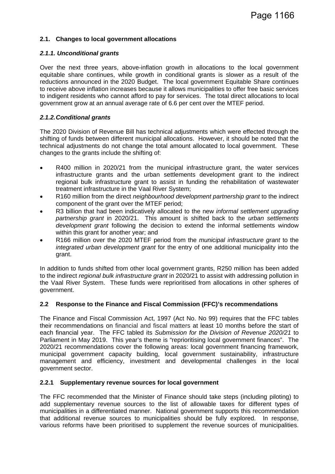#### **2.1. Changes to local government allocations**

#### *2.1.1. Unconditional grants*

Over the next three years, above-inflation growth in allocations to the local government equitable share continues, while growth in conditional grants is slower as a result of the reductions announced in the 2020 Budget. The local government Equitable Share continues to receive above inflation increases because it allows municipalities to offer free basic services to indigent residents who cannot afford to pay for services. The total direct allocations to local government grow at an annual average rate of 6.6 per cent over the MTEF period.

#### *2.1.2.Conditional grants*

The 2020 Division of Revenue Bill has technical adjustments which were effected through the shifting of funds between different municipal allocations. However, it should be noted that the technical adjustments do not change the total amount allocated to local government. These changes to the grants include the shifting of:

- R400 million in 2020/21 from the municipal infrastructure grant, the water services infrastructure grants and the urban settlements development grant to the indirect regional bulk infrastructure grant to assist in funding the rehabilitation of wastewater treatment infrastructure in the Vaal River System;
- R160 million from the direct *neighbourhood development partnership grant* to the indirect component of the grant over the MTEF period;
- R3 billion that had been indicatively allocated to the new *informal settlement upgrading partnership grant* in 2020/21. This amount is shifted back to the *urban settlements development grant* following the decision to extend the informal settlements window within this grant for another year; and
- R166 million over the 2020 MTEF period from the *municipal infrastructure grant* to the *integrated urban development grant* for the entry of one additional municipality into the grant.

In addition to funds shifted from other local government grants, R250 million has been added to the indirect *regional bulk infrastructure grant* in 2020/21 to assist with addressing pollution in the Vaal River System. These funds were reprioritised from allocations in other spheres of government.

#### **2.2 Response to the Finance and Fiscal Commission (FFC)'s recommendations**

The Finance and Fiscal Commission Act, 1997 (Act No. No 99) requires that the FFC tables their recommendations on financial and fiscal matters at least 10 months before the start of each financial year. The FFC tabled its *Submission for the Division of Revenue 2020/21* to Parliament in May 2019. This year's theme is "reprioritising local government finances". The 2020/21 recommendations cover the following areas: local government financing framework, municipal government capacity building, local government sustainability, infrastructure management and efficiency, investment and developmental challenges in the local government sector.

#### **2.2.1 Supplementary revenue sources for local government**

The FFC recommended that the Minister of Finance should take steps (including piloting) to add supplementary revenue sources to the list of allowable taxes for different types of municipalities in a differentiated manner. National government supports this recommendation that additional revenue sources to municipalities should be fully explored. In response, various reforms have been prioritised to supplement the revenue sources of municipalities.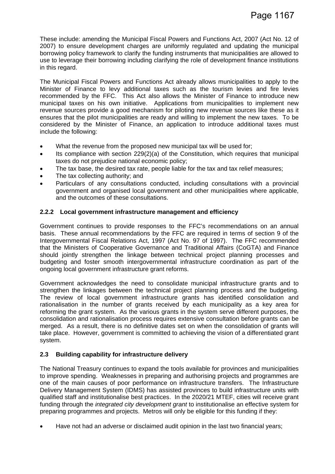These include: amending the Municipal Fiscal Powers and Functions Act, 2007 (Act No. 12 of 2007) to ensure development charges are uniformly regulated and updating the municipal borrowing policy framework to clarify the funding instruments that municipalities are allowed to use to leverage their borrowing including clarifying the role of development finance institutions in this regard.

The Municipal Fiscal Powers and Functions Act already allows municipalities to apply to the Minister of Finance to levy additional taxes such as the tourism levies and fire levies recommended by the FFC. This Act also allows the Minister of Finance to introduce new municipal taxes on his own initiative. Applications from municipalities to implement new revenue sources provide a good mechanism for piloting new revenue sources like these as it ensures that the pilot municipalities are ready and willing to implement the new taxes. To be considered by the Minister of Finance, an application to introduce additional taxes must include the following:

- What the revenue from the proposed new municipal tax will be used for;
- Its compliance with section 229(2)(a) of the Constitution, which requires that municipal taxes do not prejudice national economic policy;
- The tax base, the desired tax rate, people liable for the tax and tax relief measures;
- The tax collecting authority; and
- Particulars of any consultations conducted, including consultations with a provincial government and organised local government and other municipalities where applicable, and the outcomes of these consultations.

#### **2.2.2 Local government infrastructure management and efficiency**

Government continues to provide responses to the FFC's recommendations on an annual basis. These annual recommendations by the FFC are required in terms of section 9 of the Intergovernmental Fiscal Relations Act, 1997 (Act No. 97 of 1997). The FFC recommended that the Ministers of Cooperative Governance and Traditional Affairs (CoGTA) and Finance should jointly strengthen the linkage between technical project planning processes and budgeting and foster smooth intergovernmental infrastructure coordination as part of the ongoing local government infrastructure grant reforms.

Government acknowledges the need to consolidate municipal infrastructure grants and to strengthen the linkages between the technical project planning process and the budgeting. The review of local government infrastructure grants has identified consolidation and rationalisation in the number of grants received by each municipality as a key area for reforming the grant system. As the various grants in the system serve different purposes, the consolidation and rationalisation process requires extensive consultation before grants can be merged. As a result, there is no definitive dates set on when the consolidation of grants will take place. However, government is committed to achieving the vision of a differentiated grant system.

#### **2.3 Building capability for infrastructure delivery**

The National Treasury continues to expand the tools available for provinces and municipalities to improve spending. Weaknesses in preparing and authorising projects and programmes are one of the main causes of poor performance on infrastructure transfers. The Infrastructure Delivery Management System (IDMS) has assisted provinces to build infrastructure units with qualified staff and institutionalise best practices. In the 2020/21 MTEF, cities will receive grant funding through the *integrated city development grant* to institutionalise an effective system for preparing programmes and projects. Metros will only be eligible for this funding if they:

• Have not had an adverse or disclaimed audit opinion in the last two financial years;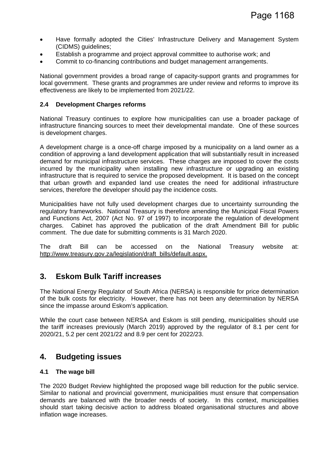- Have formally adopted the Cities' Infrastructure Delivery and Management System (CIDMS) guidelines;
- Establish a programme and project approval committee to authorise work; and
- Commit to co-financing contributions and budget management arrangements.

National government provides a broad range of capacity-support grants and programmes for local government. These grants and programmes are under review and reforms to improve its effectiveness are likely to be implemented from 2021/22.

#### **2.4 Development Charges reforms**

National Treasury continues to explore how municipalities can use a broader package of infrastructure financing sources to meet their developmental mandate. One of these sources is development charges.

A development charge is a once-off charge imposed by a municipality on a land owner as a condition of approving a land development application that will substantially result in increased demand for municipal infrastructure services. These charges are imposed to cover the costs incurred by the municipality when installing new infrastructure or upgrading an existing infrastructure that is required to service the proposed development. It is based on the concept that urban growth and expanded land use creates the need for additional infrastructure services, therefore the developer should pay the incidence costs.

Municipalities have not fully used development charges due to uncertainty surrounding the regulatory frameworks. National Treasury is therefore amending the Municipal Fiscal Powers and Functions Act, 2007 (Act No. 97 of 1997) to incorporate the regulation of development charges. Cabinet has approved the publication of the draft Amendment Bill for public comment. The due date for submitting comments is 31 March 2020.

The draft Bill can be accessed on the National Treasury website at: http://www.treasury.gov.za/legislation/draft\_bills/default.aspx.

### **3. Eskom Bulk Tariff increases**

The National Energy Regulator of South Africa (NERSA) is responsible for price determination of the bulk costs for electricity. However, there has not been any determination by NERSA since the impasse around Eskom's application.

While the court case between NERSA and Eskom is still pending, municipalities should use the tariff increases previously (March 2019) approved by the regulator of 8.1 per cent for 2020/21, 5.2 per cent 2021/22 and 8.9 per cent for 2022/23.

### **4. Budgeting issues**

#### **4.1 The wage bill**

The 2020 Budget Review highlighted the proposed wage bill reduction for the public service. Similar to national and provincial government, municipalities must ensure that compensation demands are balanced with the broader needs of society. In this context, municipalities should start taking decisive action to address bloated organisational structures and above inflation wage increases.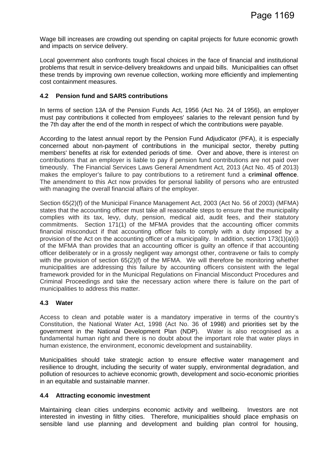Wage bill increases are crowding out spending on capital projects for future economic growth and impacts on service delivery.

Local government also confronts tough fiscal choices in the face of financial and institutional problems that result in service-delivery breakdowns and unpaid bills. Municipalities can offset these trends by improving own revenue collection, working more efficiently and implementing cost containment measures.

#### **4.2 Pension fund and SARS contributions**

In terms of section 13A of the Pension Funds Act, 1956 (Act No. 24 of 1956), an employer must pay contributions it collected from employees' salaries to the relevant pension fund by the 7th day after the end of the month in respect of which the contributions were payable.

According to the latest annual report by the Pension Fund Adjudicator (PFA), it is especially concerned about non-payment of contributions in the municipal sector, thereby putting members' benefits at risk for extended periods of time. Over and above, there is interest on contributions that an employer is liable to pay if pension fund contributions are not paid over timeously. The Financial Services Laws General Amendment Act, 2013 (Act No. 45 of 2013) makes the employer's failure to pay contributions to a retirement fund a **criminal offence**. The amendment to this Act now provides for personal liability of persons who are entrusted with managing the overall financial affairs of the employer.

Section 65(2)(f) of the Municipal Finance Management Act, 2003 (Act No. 56 of 2003) (MFMA) states that the accounting officer must take all reasonable steps to ensure that the municipality complies with its tax, levy, duty, pension, medical aid, audit fees, and their statutory commitments. Section 171(1) of the MFMA provides that the accounting officer commits financial misconduct if that accounting officer fails to comply with a duty imposed by a provision of the Act on the accounting officer of a municipality. In addition, section 173(1)(a)(i) of the MFMA than provides that an accounting officer is guilty an offence if that accounting officer deliberately or in a grossly negligent way amongst other, contravene or fails to comply with the provision of section 65(2)(f) of the MFMA. We will therefore be monitoring whether municipalities are addressing this failure by accounting officers consistent with the legal framework provided for in the Municipal Regulations on Financial Misconduct Procedures and Criminal Proceedings and take the necessary action where there is failure on the part of municipalities to address this matter.

#### **4.3 Water**

Access to clean and potable water is a mandatory imperative in terms of the country's Constitution, the National Water Act, 1998 (Act No. 36 of 1998) and priorities set by the government in the National Development Plan (NDP). Water is also recognised as a fundamental human right and there is no doubt about the important role that water plays in human existence, the environment, economic development and sustainability.

Municipalities should take strategic action to ensure effective water management and resilience to drought, including the security of water supply, environmental degradation, and pollution of resources to achieve economic growth, development and socio-economic priorities in an equitable and sustainable manner.

#### **4.4 Attracting economic investment**

Maintaining clean cities underpins economic activity and wellbeing. Investors are not interested in investing in filthy cities. Therefore, municipalities should place emphasis on sensible land use planning and development and building plan control for housing,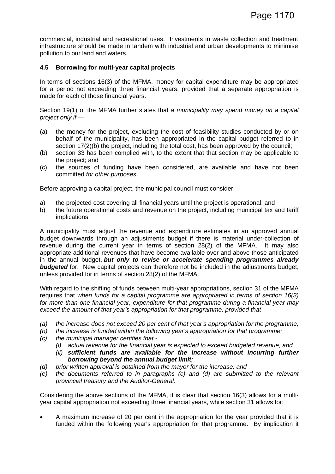commercial, industrial and recreational uses. Investments in waste collection and treatment infrastructure should be made in tandem with industrial and urban developments to minimise pollution to our land and waters.

#### **4.5 Borrowing for multi-year capital projects**

In terms of sections 16(3) of the MFMA, money for capital expenditure may be appropriated for a period not exceeding three financial years, provided that a separate appropriation is made for each of those financial years.

Section 19(1) of the MFMA further states that *a municipality may spend money on a capital project only if —* 

- (a) the money for the project, excluding the cost of feasibility studies conducted by or on behalf of the municipality, has been appropriated in the capital budget referred to in section 17(2)(b) the project, including the total cost, has been approved by the council;
- (b) section 33 has been complied with, to the extent that that section may be applicable to the project; and
- (c) the sources of funding have been considered, are available and have not been committed *for other purposes.*

Before approving a capital project, the municipal council must consider:

- a) the projected cost covering all financial years until the project is operational; and
- b) the future operational costs and revenue on the project, including municipal tax and tariff implications.

A municipality must adjust the revenue and expenditure estimates in an approved annual budget downwards through an adjustments budget if there is material under-collection of revenue during the current year in terms of section 28(2) of the MFMA. It may also appropriate additional revenues that have become available over and above those anticipated in the annual budget, *but only to revise or accelerate spending programmes already*  **budgeted** for. New capital projects can therefore not be included in the adjustments budget, unless provided for in terms of section 28(2) of the MFMA.

With regard to the shifting of funds between multi-year appropriations, section 31 of the MFMA requires that *when funds for a capital programme are appropriated in terms of section 16(3) for more than one financial year, expenditure for that programme during a financial year may exceed the amount of that year's appropriation for that programme, provided that –*

- *(a) the increase does not exceed 20 per cent of that year's appropriation for the programme;*
- *(b) the increase is funded within the following year's appropriation for that programme;*
- *(c) the municipal manager certifies that* 
	- *(i) actual revenue for the financial year is expected to exceed budgeted revenue; and*
	- *(ii) sufficient funds are available for the increase without incurring further borrowing beyond the annual budget limit;*
- *(d) prior written approval is obtained from the mayor for the increase: and*
- *(e) the documents referred to in paragraphs (c) and (d) are submitted to the relevant provincial treasury and the Auditor-General*.

Considering the above sections of the MFMA, it is clear that section 16(3) allows for a multiyear capital appropriation not exceeding three financial years, while section 31 allows for:

• A maximum increase of 20 per cent in the appropriation for the year provided that it is funded within the following year's appropriation for that programme. By implication it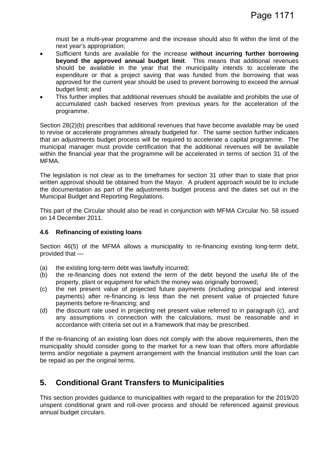must be a multi-year programme and the increase should also fit within the limit of the next year's appropriation;

- Sufficient funds are available for the increase **without incurring further borrowing beyond the approved annual budget limit**. This means that additional revenues should be available in the year that the municipality intends to accelerate the expenditure or that a project saving that was funded from the borrowing that was approved for the current year should be used to prevent borrowing to exceed the annual budget limit; and
- This further implies that additional revenues should be available and prohibits the use of accumulated cash backed reserves from previous years for the acceleration of the programme.

Section 28(2)(b) prescribes that additional revenues that have become available may be used to revise or accelerate programmes already budgeted for. The same section further indicates that an adjustments budget process will be required to accelerate a capital programme. The municipal manager must provide certification that the additional revenues will be available within the financial year that the programme will be accelerated in terms of section 31 of the MFMA.

The legislation is not clear as to the timeframes for section 31 other than to state that prior written approval should be obtained from the Mayor. A prudent approach would be to include the documentation as part of the adjustments budget process and the dates set out in the Municipal Budget and Reporting Regulations.

This part of the Circular should also be read in conjunction with MFMA Circular No. 58 issued on 14 December 2011.

#### **4.6 Refinancing of existing loans**

Section 46(5) of the MFMA allows a municipality to re-financing existing long-term debt, provided that —

- (a) the existing long-term debt was lawfully incurred;
- (b) the re-financing does not extend the term of the debt beyond the useful life of the property, plant or equipment for which the money was originally borrowed;
- (c) the net present value of projected future payments (including principal and interest payments) after re-financing is less than the net present value of projected future payments before re-financing; and
- (d) the discount rate used in projecting net present value referred to in paragraph (c), and any assumptions in connection with the calculations, must be reasonable and in accordance with criteria set out in a framework that may be prescribed.

If the re-financing of an existing loan does not comply with the above requirements, then the municipality should consider going to the market for a new loan that offers more affordable terms and/or negotiate a payment arrangement with the financial institution until the loan can be repaid as per the original terms.

## **5. Conditional Grant Transfers to Municipalities**

This section provides guidance to municipalities with regard to the preparation for the 2019/20 unspent conditional grant and roll-over process and should be referenced against previous annual budget circulars.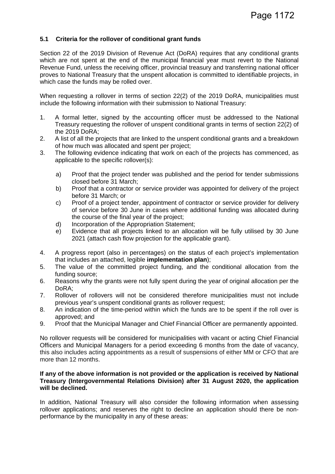#### **5.1 Criteria for the rollover of conditional grant funds**

Section 22 of the 2019 Division of Revenue Act (DoRA) requires that any conditional grants which are not spent at the end of the municipal financial year must revert to the National Revenue Fund, unless the receiving officer, provincial treasury and transferring national officer proves to National Treasury that the unspent allocation is committed to identifiable projects, in which case the funds may be rolled over.

When requesting a rollover in terms of section 22(2) of the 2019 DoRA, municipalities must include the following information with their submission to National Treasury:

- 1. A formal letter, signed by the accounting officer must be addressed to the National Treasury requesting the rollover of unspent conditional grants in terms of section 22(2) of the 2019 DoRA;
- 2. A list of all the projects that are linked to the unspent conditional grants and a breakdown of how much was allocated and spent per project;
- 3. The following evidence indicating that work on each of the projects has commenced, as applicable to the specific rollover(s):
	- a) Proof that the project tender was published and the period for tender submissions closed before 31 March;
	- b) Proof that a contractor or service provider was appointed for delivery of the project before 31 March; or
	- c) Proof of a project tender, appointment of contractor or service provider for delivery of service before 30 June in cases where additional funding was allocated during the course of the final year of the project;
	- d) Incorporation of the Appropriation Statement;
	- e) Evidence that all projects linked to an allocation will be fully utilised by 30 June 2021 (attach cash flow projection for the applicable grant).
- 4. A progress report (also in percentages) on the status of each project's implementation that includes an attached, legible **implementation plan**);
- 5. The value of the committed project funding, and the conditional allocation from the funding source;
- 6. Reasons why the grants were not fully spent during the year of original allocation per the DoRA;
- 7. Rollover of rollovers will not be considered therefore municipalities must not include previous year's unspent conditional grants as rollover request;
- 8. An indication of the time-period within which the funds are to be spent if the roll over is approved; and
- 9. Proof that the Municipal Manager and Chief Financial Officer are permanently appointed.

No rollover requests will be considered for municipalities with vacant or acting Chief Financial Officers and Municipal Managers for a period exceeding 6 months from the date of vacancy, this also includes acting appointments as a result of suspensions of either MM or CFO that are more than 12 months.

#### **If any of the above information is not provided or the application is received by National Treasury (Intergovernmental Relations Division) after 31 August 2020, the application will be declined.**

In addition, National Treasury will also consider the following information when assessing rollover applications; and reserves the right to decline an application should there be nonperformance by the municipality in any of these areas: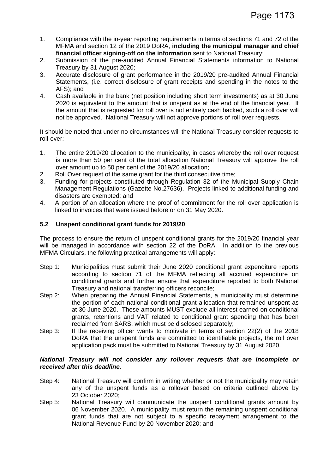- 1. Compliance with the in-year reporting requirements in terms of sections 71 and 72 of the MFMA and section 12 of the 2019 DoRA, **including the municipal manager and chief financial officer signing-off on the information** sent to National Treasury;
- 2. Submission of the pre-audited Annual Financial Statements information to National Treasury by 31 August 2020;
- 3. Accurate disclosure of grant performance in the 2019/20 pre-audited Annual Financial Statements, (i.e. correct disclosure of grant receipts and spending in the notes to the AFS); and
- 4. Cash available in the bank (net position including short term investments) as at 30 June 2020 is equivalent to the amount that is unspent as at the end of the financial year. If the amount that is requested for roll over is not entirely cash backed, such a roll over will not be approved. National Treasury will not approve portions of roll over requests.

It should be noted that under no circumstances will the National Treasury consider requests to roll-over:

- 1. The entire 2019/20 allocation to the municipality, in cases whereby the roll over request is more than 50 per cent of the total allocation National Treasury will approve the roll over amount up to 50 per cent of the 2019/20 allocation;
- 2. Roll Over request of the same grant for the third consecutive time;
- 3. Funding for projects constituted through Regulation 32 of the Municipal Supply Chain Management Regulations (Gazette No.27636). Projects linked to additional funding and disasters are exempted; and
- 4. A portion of an allocation where the proof of commitment for the roll over application is linked to invoices that were issued before or on 31 May 2020.

#### **5.2 Unspent conditional grant funds for 2019/20**

The process to ensure the return of unspent conditional grants for the 2019/20 financial year will be managed in accordance with section 22 of the DoRA. In addition to the previous MFMA Circulars, the following practical arrangements will apply:

- Step 1: Municipalities must submit their June 2020 conditional grant expenditure reports according to section 71 of the MFMA reflecting all accrued expenditure on conditional grants and further ensure that expenditure reported to both National Treasury and national transferring officers reconcile;
- Step 2: When preparing the Annual Financial Statements, a municipality must determine the portion of each national conditional grant allocation that remained unspent as at 30 June 2020. These amounts MUST exclude all interest earned on conditional grants, retentions and VAT related to conditional grant spending that has been reclaimed from SARS, which must be disclosed separately;
- Step 3: If the receiving officer wants to motivate in terms of section 22(2) of the 2018 DoRA that the unspent funds are committed to identifiable projects, the roll over application pack must be submitted to National Treasury by 31 August 2020.

#### *National Treasury will not consider any rollover requests that are incomplete or received after this deadline.*

- Step 4: National Treasury will confirm in writing whether or not the municipality may retain any of the unspent funds as a rollover based on criteria outlined above by 23 October 2020;
- Step 5: National Treasury will communicate the unspent conditional grants amount by 06 November 2020. A municipality must return the remaining unspent conditional grant funds that are not subject to a specific repayment arrangement to the National Revenue Fund by 20 November 2020; and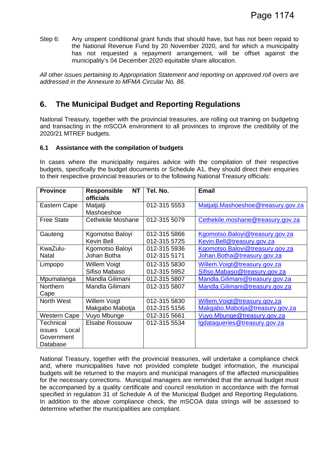Step 6: Any unspent conditional grant funds that should have, but has not been repaid to the National Revenue Fund by 20 November 2020, and for which a municipality has not requested a repayment arrangement, will be offset against the municipality's 04 December 2020 equitable share allocation.

*All other issues pertaining to Appropriation Statement and reporting on approved roll overs are addressed in the Annexure to MFMA Circular No. 86.*

# **6. The Municipal Budget and Reporting Regulations**

National Treasury, together with the provincial treasuries, are rolling out training on budgeting and transacting in the *m*SCOA environment to all provinces to improve the credibility of the 2020/21 MTREF budgets.

#### **6.1 Assistance with the compilation of budgets**

In cases where the municipality requires advice with the compilation of their respective budgets, specifically the budget documents or Schedule A1, they should direct their enquiries to their respective provincial treasuries or to the following National Treasury officials:

| <b>Province</b>     | <b>Responsible</b><br><b>NT</b><br>officials | Tel. No.     | <b>Email</b>                        |
|---------------------|----------------------------------------------|--------------|-------------------------------------|
| Eastern Cape        | Matjatji<br>Mashoeshoe                       | 012-315 5553 | Matjatji.Mashoeshoe@treasury.gov.za |
| <b>Free State</b>   | Cethekile Moshane                            | 012-315 5079 | Cethekile.moshane@treasury.gov.za   |
| Gauteng             | Kgomotso Baloyi                              | 012-315 5866 | Kgomotso.Baloyi@treasury.gov.za     |
|                     | <b>Kevin Bell</b>                            | 012-315 5725 | Kevin.Bell@treasury.gov.za          |
| KwaZulu-            | Kgomotso Baloyi                              | 012-315 5936 | Kgomotso.Baloyi@treasury.gov.za     |
| Natal               | Johan Botha                                  | 012-315 5171 | Johan.Botha@treasury.gov.za         |
| Limpopo             | Willem Voigt                                 | 012-315 5830 | Willem. Voigt@treasury.gov.za       |
|                     | Sifiso Mabaso                                | 012-315 5952 | Sifiso.Mabaso@treasury.gov.za       |
| Mpumalanga          | Mandla Gilimani                              | 012-315 5807 | Mandla.Gilimani@treasury.gov.za     |
| Northern            | Mandla Gilimani                              | 012-315 5807 | Mandla.Gilimani@treasury.gov.za     |
| Cape                |                                              |              |                                     |
| North West          | <b>Willem Voigt</b>                          | 012-315 5830 | Willem. Voigt@treasury.gov.za       |
|                     | Makgabo Mabotja                              | 012-315 5156 | Makgabo.Mabotja@treasury.gov.za     |
| <b>Western Cape</b> | Vuyo Mbunge                                  | 012-315 5661 | Vuyo.Mbunge@treasury.gov.za         |
| Technical           | Elsabe Rossouw                               | 012-315 5534 | Igdataqueries@treasury.gov.za       |
| issues<br>Local     |                                              |              |                                     |
| Government          |                                              |              |                                     |
| Database            |                                              |              |                                     |

National Treasury, together with the provincial treasuries, will undertake a compliance check and, where municipalities have not provided complete budget information, the municipal budgets will be returned to the mayors and municipal managers of the affected municipalities for the necessary corrections. Municipal managers are reminded that the annual budget must be accompanied by a quality certificate and council resolution in accordance with the format specified in regulation 31 of Schedule A of the Municipal Budget and Reporting Regulations. In addition to the above compliance check, the *m*SCOA data strings will be assessed to determine whether the municipalities are compliant.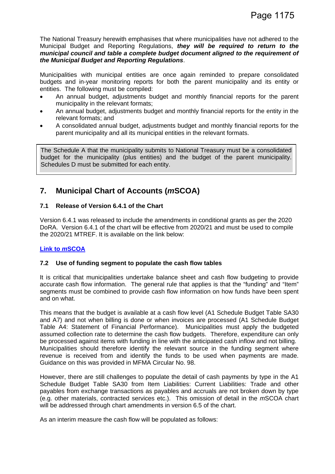The National Treasury herewith emphasises that where municipalities have not adhered to the Municipal Budget and Reporting Regulations, *they will be required to return to the municipal council and table a complete budget document aligned to the requirement of the Municipal Budget and Reporting Regulations*.

Municipalities with municipal entities are once again reminded to prepare consolidated budgets and in-year monitoring reports for both the parent municipality and its entity or entities. The following must be compiled:

- An annual budget, adjustments budget and monthly financial reports for the parent municipality in the relevant formats;
- An annual budget, adjustments budget and monthly financial reports for the entity in the relevant formats; and
- A consolidated annual budget, adjustments budget and monthly financial reports for the parent municipality and all its municipal entities in the relevant formats.

The Schedule A that the municipality submits to National Treasury must be a consolidated budget for the municipality (plus entities) and the budget of the parent municipality. Schedules D must be submitted for each entity.

# **7. Municipal Chart of Accounts (***m***SCOA)**

#### **7.1 Release of Version 6.4.1 of the Chart**

Version 6.4.1 was released to include the amendments in conditional grants as per the 2020 DoRA. Version 6.4.1 of the chart will be effective from 2020/21 and must be used to compile the 2020/21 MTREF. It is available on the link below:

#### **Link to** *m***SCOA**

#### **7.2 Use of funding segment to populate the cash flow tables**

It is critical that municipalities undertake balance sheet and cash flow budgeting to provide accurate cash flow information. The general rule that applies is that the "funding" and "Item" segments must be combined to provide cash flow information on how funds have been spent and on what.

This means that the budget is available at a cash flow level (A1 Schedule Budget Table SA30 and A7) and not when billing is done or when invoices are processed (A1 Schedule Budget Table A4: Statement of Financial Performance). Municipalities must apply the budgeted assumed collection rate to determine the cash flow budgets. Therefore, expenditure can only be processed against items with funding in line with the anticipated cash inflow and not billing. Municipalities should therefore identify the relevant source in the funding segment where revenue is received from and identify the funds to be used when payments are made. Guidance on this was provided in MFMA Circular No. 98.

However, there are still challenges to populate the detail of cash payments by type in the A1 Schedule Budget Table SA30 from Item Liabilities: Current Liabilities: Trade and other payables from exchange transactions as payables and accruals are not broken down by type (e.g. other materials, contracted services etc.). This omission of detail in the *m*SCOA chart will be addressed through chart amendments in version 6.5 of the chart.

As an interim measure the cash flow will be populated as follows: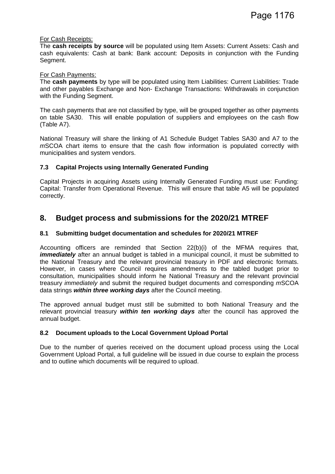#### For Cash Receipts:

The **cash receipts by source** will be populated using Item Assets: Current Assets: Cash and cash equivalents: Cash at bank: Bank account: Deposits in conjunction with the Funding Segment.

#### For Cash Payments:

The **cash payments** by type will be populated using Item Liabilities: Current Liabilities: Trade and other payables Exchange and Non- Exchange Transactions: Withdrawals in conjunction with the Funding Segment.

The cash payments that are not classified by type, will be grouped together as other payments on table SA30. This will enable population of suppliers and employees on the cash flow (Table A7).

National Treasury will share the linking of A1 Schedule Budget Tables SA30 and A7 to the *m*SCOA chart items to ensure that the cash flow information is populated correctly with municipalities and system vendors.

#### **7.3 Capital Projects using Internally Generated Funding**

Capital Projects in acquiring Assets using Internally Generated Funding must use: Funding: Capital: Transfer from Operational Revenue. This will ensure that table A5 will be populated correctly.

### **8. Budget process and submissions for the 2020/21 MTREF**

#### **8.1 Submitting budget documentation and schedules for 2020/21 MTREF**

Accounting officers are reminded that Section 22(b)(i) of the MFMA requires that, *immediately* after an annual budget is tabled in a municipal council, it must be submitted to the National Treasury and the relevant provincial treasury in PDF and electronic formats. However, in cases where Council requires amendments to the tabled budget prior to consultation, municipalities should inform he National Treasury and the relevant provincial treasury *immediately* and submit the required budget documents and corresponding *m*SCOA data strings *within three working days* after the Council meeting.

The approved annual budget must still be submitted to both National Treasury and the relevant provincial treasury *within ten working days* after the council has approved the annual budget.

#### **8.2 Document uploads to the Local Government Upload Portal**

Due to the number of queries received on the document upload process using the Local Government Upload Portal, a full guideline will be issued in due course to explain the process and to outline which documents will be required to upload.